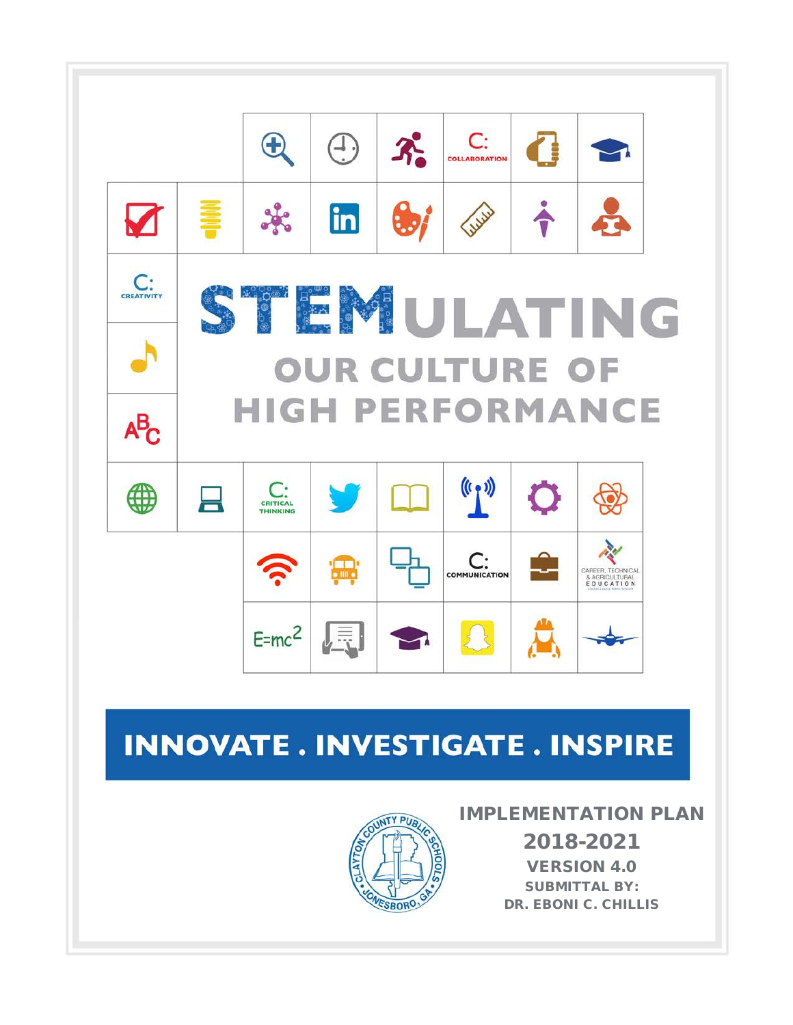

# **INNOVATE. INVESTIGATE. INSPIRE**



### IMPLEMENTATION PLAN

2018-2021 VERSION 4.0 SUBMITTAL BY: DR. EBONI C. CHILLIS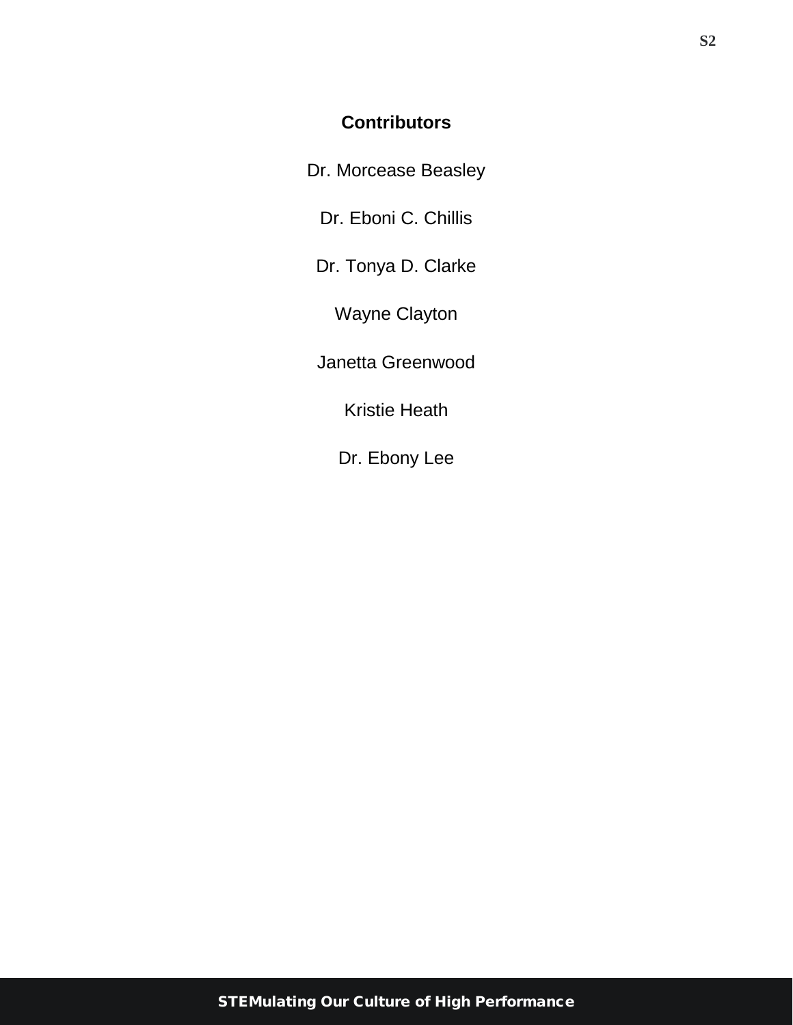### **Contributors**

Dr. Morcease Beasley

Dr. Eboni C. Chillis

Dr. Tonya D. Clarke

Wayne Clayton

Janetta Greenwood

Kristie Heath

Dr. Ebony Lee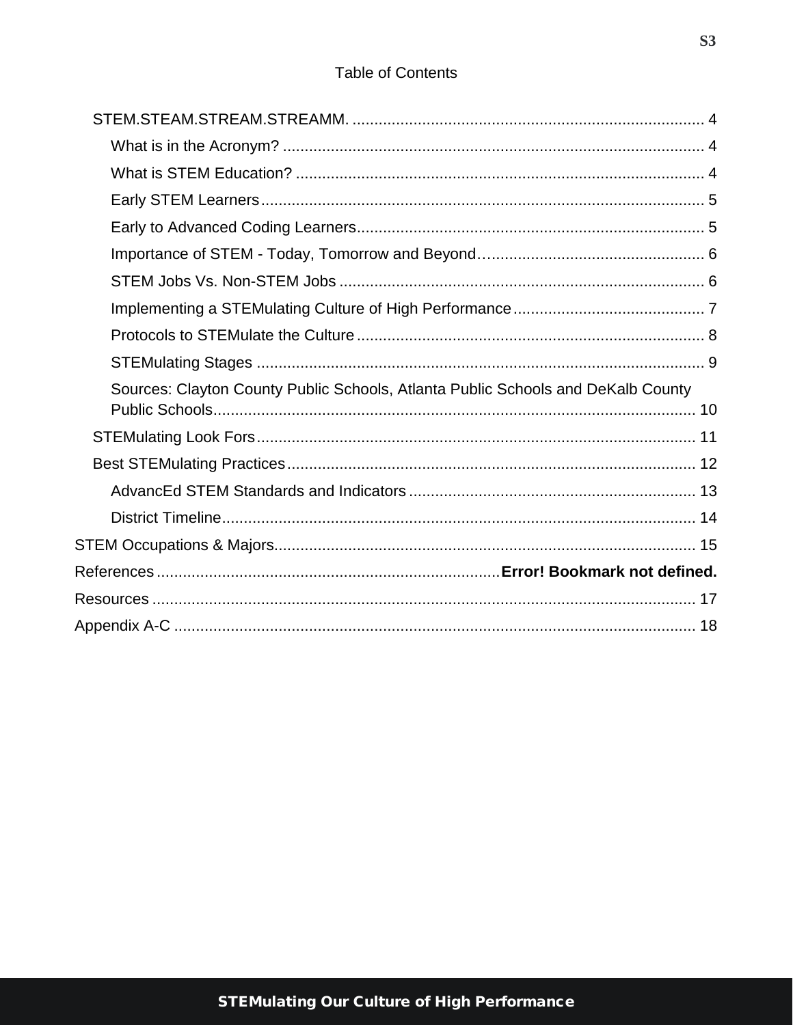### **Table of Contents**

| Sources: Clayton County Public Schools, Atlanta Public Schools and DeKalb County |
|----------------------------------------------------------------------------------|
|                                                                                  |
|                                                                                  |
|                                                                                  |
|                                                                                  |
|                                                                                  |
|                                                                                  |
|                                                                                  |
|                                                                                  |
|                                                                                  |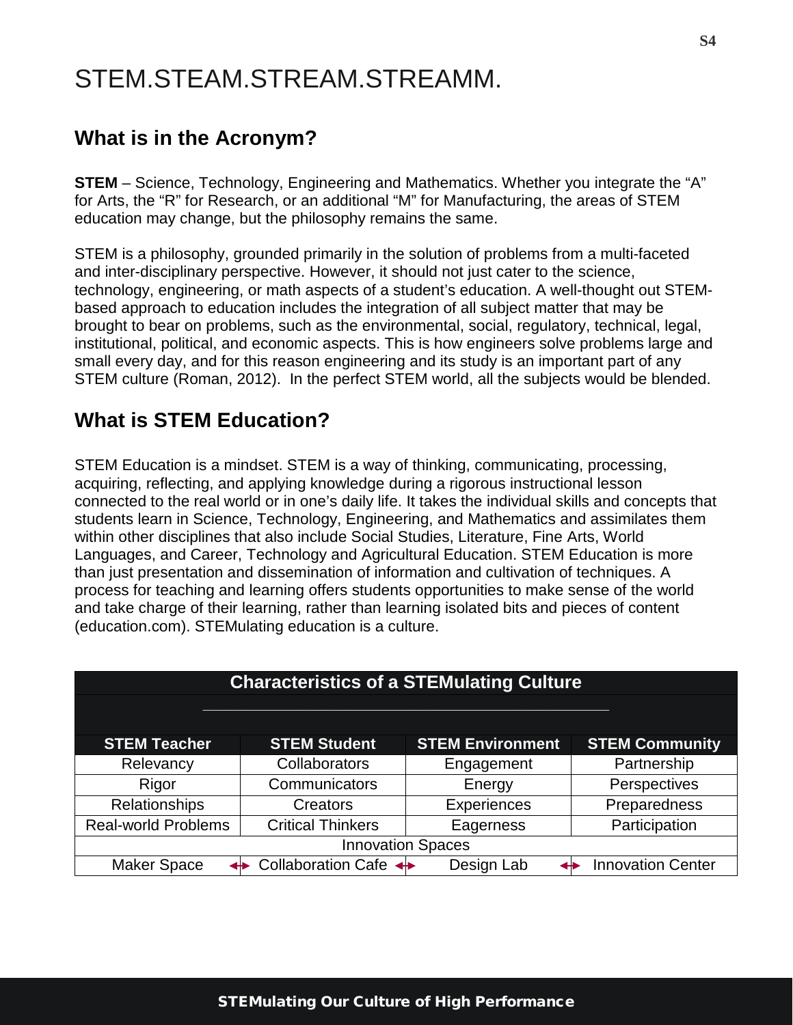# <span id="page-3-0"></span>STEM.STEAM.STREAM.STREAMM.

### <span id="page-3-1"></span>**What is in the Acronym?**

**STEM** – Science, Technology, Engineering and Mathematics. Whether you integrate the "A" for Arts, the "R" for Research, or an additional "M" for Manufacturing, the areas of STEM education may change, but the philosophy remains the same.

STEM is a philosophy, grounded primarily in the solution of problems from a multi-faceted and inter-disciplinary perspective. However, it should not just cater to the science, technology, engineering, or math aspects of a student's education. A well-thought out STEMbased approach to education includes the integration of all subject matter that may be brought to bear on problems, such as the environmental, social, regulatory, technical, legal, institutional, political, and economic aspects. This is how engineers solve problems large and small every day, and for this reason engineering and its study is an important part of any STEM culture (Roman, 2012). In the perfect STEM world, all the subjects would be blended.

## <span id="page-3-2"></span>**What is STEM Education?**

STEM Education is a mindset. STEM is a way of thinking, communicating, processing, acquiring, reflecting, and applying knowledge during a rigorous instructional lesson connected to the real world or in one's daily life. It takes the individual skills and concepts that students learn in Science, Technology, Engineering, and Mathematics and assimilates them within other disciplines that also include Social Studies, Literature, Fine Arts, World Languages, and Career, Technology and Agricultural Education. STEM Education is more than just presentation and dissemination of information and cultivation of techniques. A process for teaching and learning offers students opportunities to make sense of the world and take charge of their learning, rather than learning isolated bits and pieces of content (education.com). STEMulating education is a culture.

| <b>Characteristics of a STEMulating Culture</b> |                                      |                         |                          |
|-------------------------------------------------|--------------------------------------|-------------------------|--------------------------|
|                                                 |                                      |                         |                          |
| <b>STEM Teacher</b>                             | <b>STEM Student</b>                  | <b>STEM Environment</b> | <b>STEM Community</b>    |
| Relevancy                                       | <b>Collaborators</b>                 | Engagement              | Partnership              |
| Rigor                                           | Communicators                        | Energy                  | Perspectives             |
| <b>Relationships</b>                            | Creators                             | Experiences             | Preparedness             |
| <b>Real-world Problems</b>                      | <b>Critical Thinkers</b>             | Eagerness               | Participation            |
| <b>Innovation Spaces</b>                        |                                      |                         |                          |
| <b>Maker Space</b>                              | Collaboration Cafe $\leftrightarrow$ | Design Lab              | <b>Innovation Center</b> |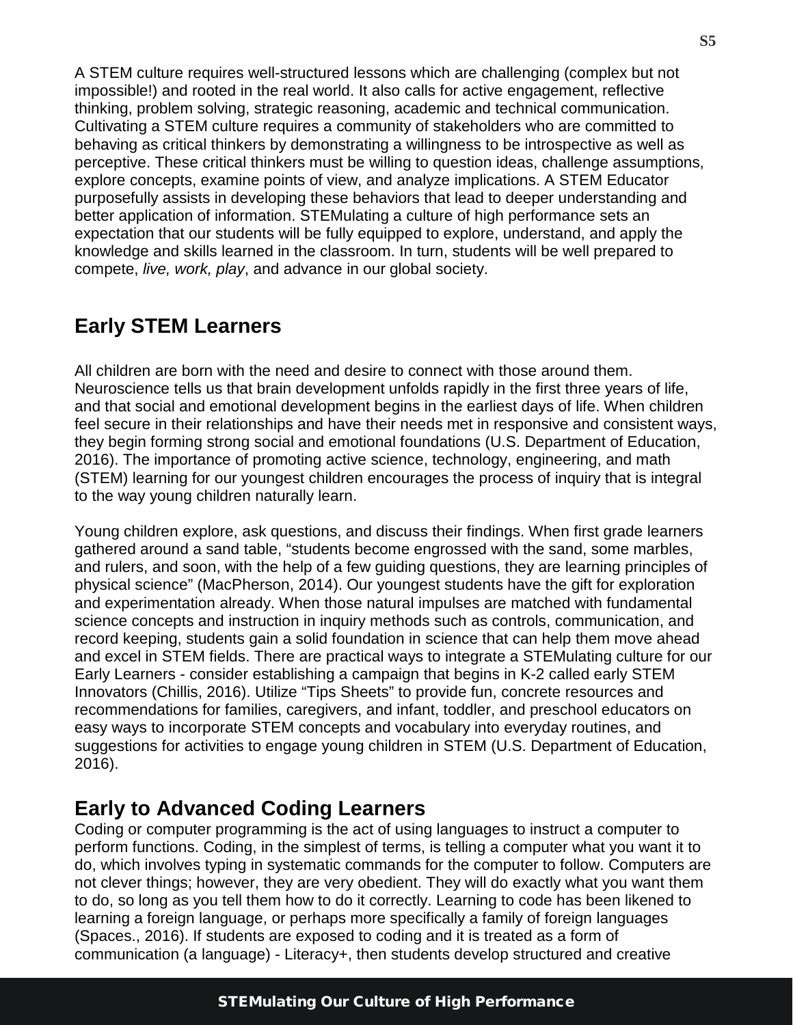A STEM culture requires well-structured lessons which are challenging (complex but not impossible!) and rooted in the real world. It also calls for active engagement, reflective thinking, problem solving, strategic reasoning, academic and technical communication. Cultivating a STEM culture requires a community of stakeholders who are committed to behaving as critical thinkers by demonstrating a willingness to be introspective as well as perceptive. These critical thinkers must be willing to question ideas, challenge assumptions, explore concepts, examine points of view, and analyze implications. A STEM Educator purposefully assists in developing these behaviors that lead to deeper understanding and better application of information. STEMulating a culture of high performance sets an expectation that our students will be fully equipped to explore, understand, and apply the knowledge and skills learned in the classroom. In turn, students will be well prepared to compete, *live, work, play*, and advance in our global society.

### <span id="page-4-0"></span>**Early STEM Learners**

All children are born with the need and desire to connect with those around them. Neuroscience tells us that brain development unfolds rapidly in the first three years of life, and that social and emotional development begins in the earliest days of life. When children feel secure in their relationships and have their needs met in responsive and consistent ways, they begin forming strong social and emotional foundations (U.S. Department of Education, 2016). The importance of promoting active science, technology, engineering, and math (STEM) learning for our youngest children encourages the process of inquiry that is integral to the way young children naturally learn.

Young children explore, ask questions, and discuss their findings. When first grade learners gathered around a sand table, "students become engrossed with the sand, some marbles, and rulers, and soon, with the help of a few guiding questions, they are learning principles of physical science" (MacPherson, 2014). Our youngest students have the gift for exploration and experimentation already. When those natural impulses are matched with fundamental science concepts and instruction in inquiry methods such as controls, communication, and record keeping, students gain a solid foundation in science that can help them move ahead and excel in STEM fields. There are practical ways to integrate a STEMulating culture for our Early Learners - consider establishing a campaign that begins in K-2 called early STEM Innovators (Chillis, 2016). Utilize "Tips Sheets" to provide fun, concrete resources and recommendations for families, caregivers, and infant, toddler, and preschool educators on easy ways to incorporate STEM concepts and vocabulary into everyday routines, and suggestions for activities to engage young children in STEM (U.S. Department of Education, 2016).

### <span id="page-4-1"></span>**Early to Advanced Coding Learners**

Coding or computer programming is the act of using languages to instruct a computer to perform functions. Coding, in the simplest of terms, is telling a computer what you want it to do, which involves typing in systematic commands for the computer to follow. Computers are not clever things; however, they are very obedient. They will do exactly what you want them to do, so long as you tell them how to do it correctly. Learning to code has been likened to learning a foreign language, or perhaps more specifically a family of foreign languages (Spaces., 2016). If students are exposed to coding and it is treated as a form of communication (a language) - Literacy+, then students develop structured and creative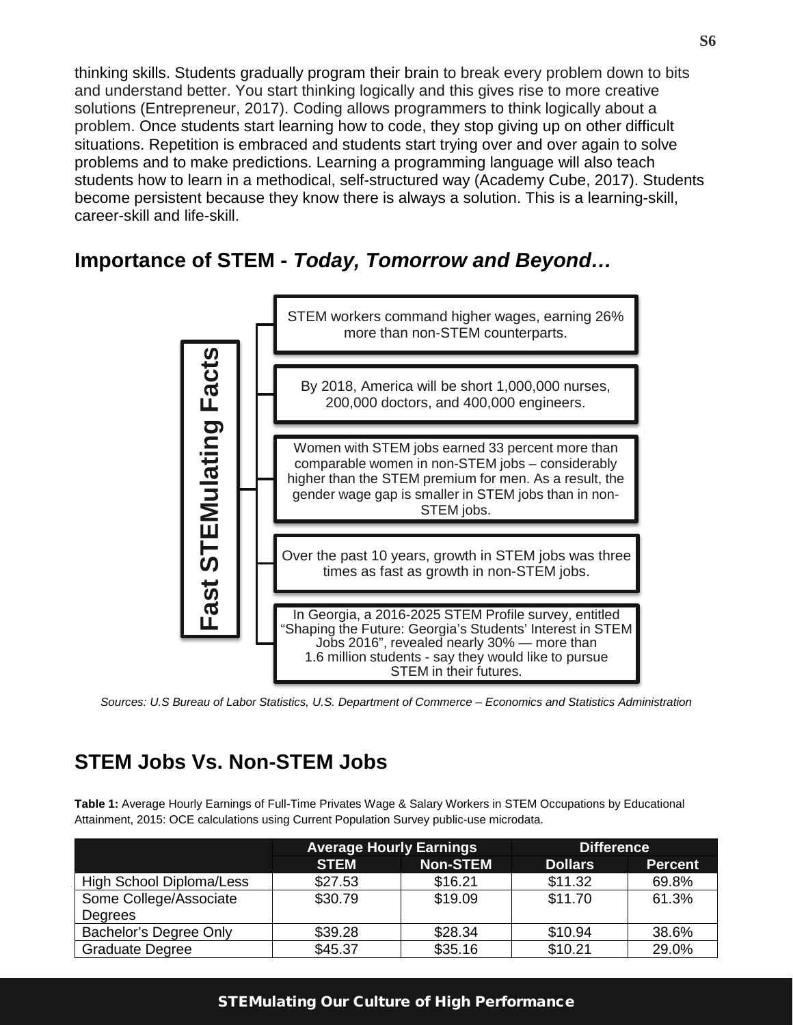thinking skills. Students gradually program their brain to break every problem down to bits and understand better. You start thinking logically and this gives rise to more creative solutions (Entrepreneur, 2017). Coding allows programmers to think logically about a problem. Once students start learning how to code, they stop giving up on other difficult situations. Repetition is embraced and students start trying over and over again to solve problems and to make predictions. Learning a programming language will also teach students how to learn in a methodical, self-structured way (Academy Cube, 2017). Students become persistent because they know there is always a solution. This is a learning-skill, career-skill and life-skill.

### <span id="page-5-0"></span>**Importance of STEM -** *Today, Tomorrow and Beyond…*

![](_page_5_Figure_2.jpeg)

*Sources: U.S Bureau of Labor Statistics, U.S. Department of Commerce – Economics and Statistics Administration*

## <span id="page-5-1"></span>**STEM Jobs Vs. Non-STEM Jobs**

**Table 1:** Average Hourly Earnings of Full-Time Privates Wage & Salary Workers in STEM Occupations by Educational Attainment, 2015: OCE calculations using Current Population Survey public-use microdata.

|                          | <b>Average Hourly Earnings</b> |                 | <b>Difference</b> |                |
|--------------------------|--------------------------------|-----------------|-------------------|----------------|
|                          | <b>STEM</b>                    | <b>Non-STEM</b> | <b>Dollars</b>    | <b>Percent</b> |
| High School Diploma/Less | \$27.53                        | \$16.21         | \$11.32           | 69.8%          |
| Some College/Associate   | \$30.79                        | \$19.09         | \$11.70           | 61.3%          |
| Degrees                  |                                |                 |                   |                |
| Bachelor's Degree Only   | \$39.28                        | \$28.34         | \$10.94           | 38.6%          |
| <b>Graduate Degree</b>   | \$45.37                        | \$35.16         | \$10.21           | 29.0%          |

#### STEMulating Our Culture of High Performance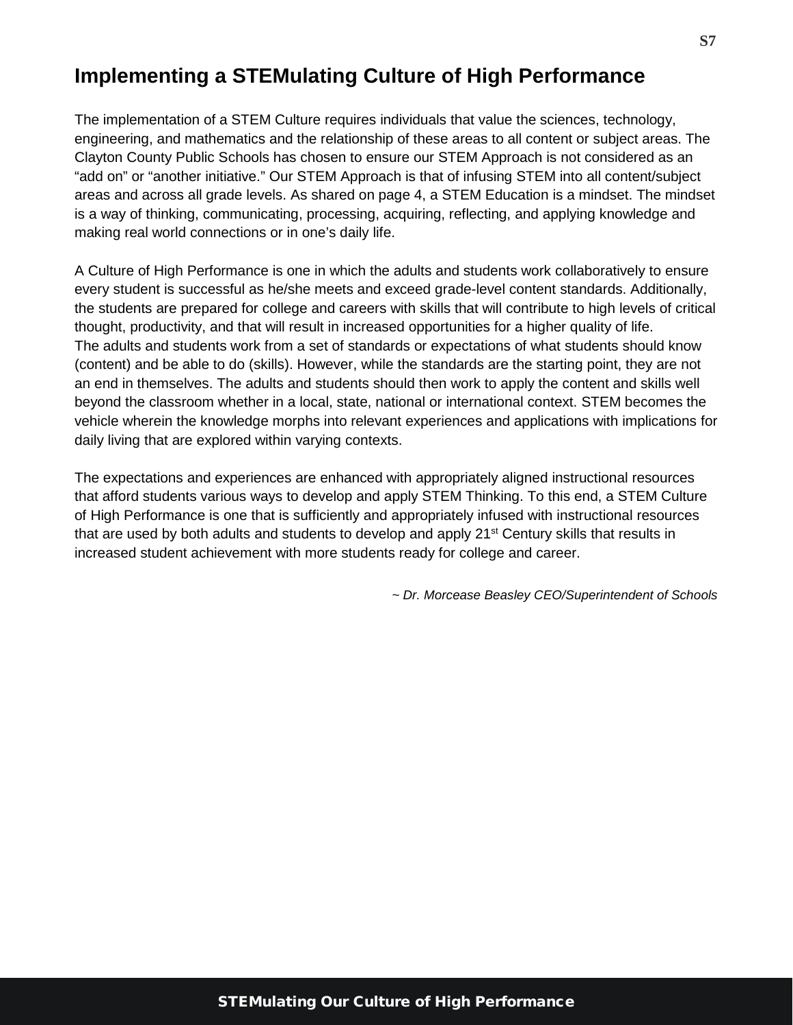### <span id="page-6-0"></span>**Implementing a STEMulating Culture of High Performance**

The implementation of a STEM Culture requires individuals that value the sciences, technology, engineering, and mathematics and the relationship of these areas to all content or subject areas. The Clayton County Public Schools has chosen to ensure our STEM Approach is not considered as an "add on" or "another initiative." Our STEM Approach is that of infusing STEM into all content/subject areas and across all grade levels. As shared on page 4, a STEM Education is a mindset. The mindset is a way of thinking, communicating, processing, acquiring, reflecting, and applying knowledge and making real world connections or in one's daily life.

A Culture of High Performance is one in which the adults and students work collaboratively to ensure every student is successful as he/she meets and exceed grade-level content standards. Additionally, the students are prepared for college and careers with skills that will contribute to high levels of critical thought, productivity, and that will result in increased opportunities for a higher quality of life. The adults and students work from a set of standards or expectations of what students should know (content) and be able to do (skills). However, while the standards are the starting point, they are not an end in themselves. The adults and students should then work to apply the content and skills well beyond the classroom whether in a local, state, national or international context. STEM becomes the vehicle wherein the knowledge morphs into relevant experiences and applications with implications for daily living that are explored within varying contexts.

The expectations and experiences are enhanced with appropriately aligned instructional resources that afford students various ways to develop and apply STEM Thinking. To this end, a STEM Culture of High Performance is one that is sufficiently and appropriately infused with instructional resources that are used by both adults and students to develop and apply 21<sup>st</sup> Century skills that results in increased student achievement with more students ready for college and career.

*~ Dr. Morcease Beasley CEO/Superintendent of Schools*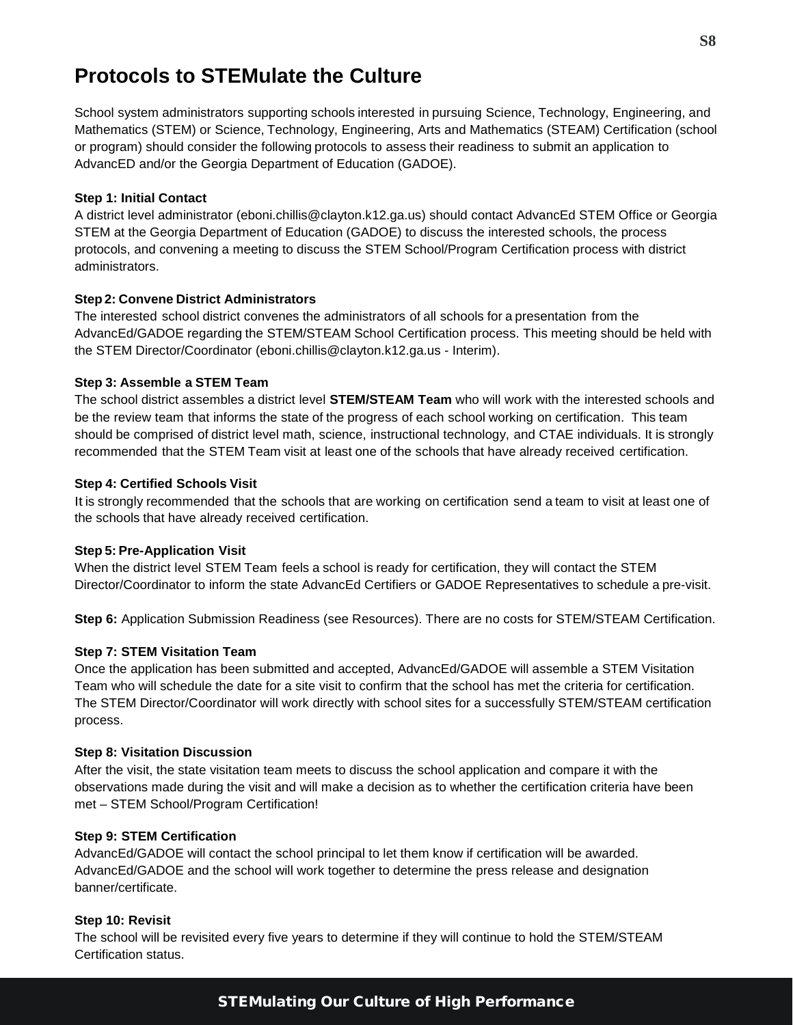### <span id="page-7-0"></span>**Protocols to STEMulate the Culture**

School system administrators supporting schools interested in pursuing Science, Technology, Engineering, and Mathematics (STEM) or Science, Technology, Engineering, Arts and Mathematics (STEAM) Certification (school or program) should consider the following protocols to assess their readiness to submit an application to AdvancED and/or the Georgia Department of Education (GADOE).

#### **Step 1: Initial Contact**

A district level administrator (eboni.chillis@clayton.k12.ga.us) should contact AdvancEd STEM Office or Georgia STEM at the Georgia Department of Education (GADOE) to discuss the interested schools, the process protocols, and convening a meeting to discuss the STEM School/Program Certification process with district administrators.

#### **Step 2: Convene District Administrators**

The interested school district convenes the administrators of all schools for a presentation from the AdvancEd/GADOE regarding the STEM/STEAM School Certification process. This meeting should be held with the STEM Director/Coordinator (eboni.chillis@clayton.k12.ga.us - Interim).

#### **Step 3: Assemble a STEM Team**

The school district assembles a district level **STEM/STEAM Team** who will work with the interested schools and be the review team that informs the state of the progress of each school working on certification. This team should be comprised of district level math, science, instructional technology, and CTAE individuals. It is strongly recommended that the STEM Team visit at least one of the schools that have already received certification.

#### **Step 4: Certified Schools Visit**

It is strongly recommended that the schools that are working on certification send a team to visit at least one of the schools that have already received certification.

#### **Step 5: Pre-Application Visit**

When the district level STEM Team feels a school is ready for certification, they will contact the STEM Director/Coordinator to inform the state AdvancEd Certifiers or GADOE Representatives to schedule a pre-visit.

**Step 6:** Application Submission Readiness (see Resources). There are no costs for STEM/STEAM Certification.

#### **Step 7: STEM Visitation Team**

Once the application has been submitted and accepted, AdvancEd/GADOE will assemble a STEM Visitation Team who will schedule the date for a site visit to confirm that the school has met the criteria for certification. The STEM Director/Coordinator will work directly with school sites for a successfully STEM/STEAM certification process.

#### **Step 8: Visitation Discussion**

After the visit, the state visitation team meets to discuss the school application and compare it with the observations made during the visit and will make a decision as to whether the certification criteria have been met – STEM School/Program Certification!

#### **Step 9: STEM Certification**

AdvancEd/GADOE will contact the school principal to let them know if certification will be awarded. AdvancEd/GADOE and the school will work together to determine the press release and designation banner/certificate.

#### **Step 10: Revisit**

The school will be revisited every five years to determine if they will continue to hold the STEM/STEAM Certification status.

#### STEMulating Our Culture of High Performance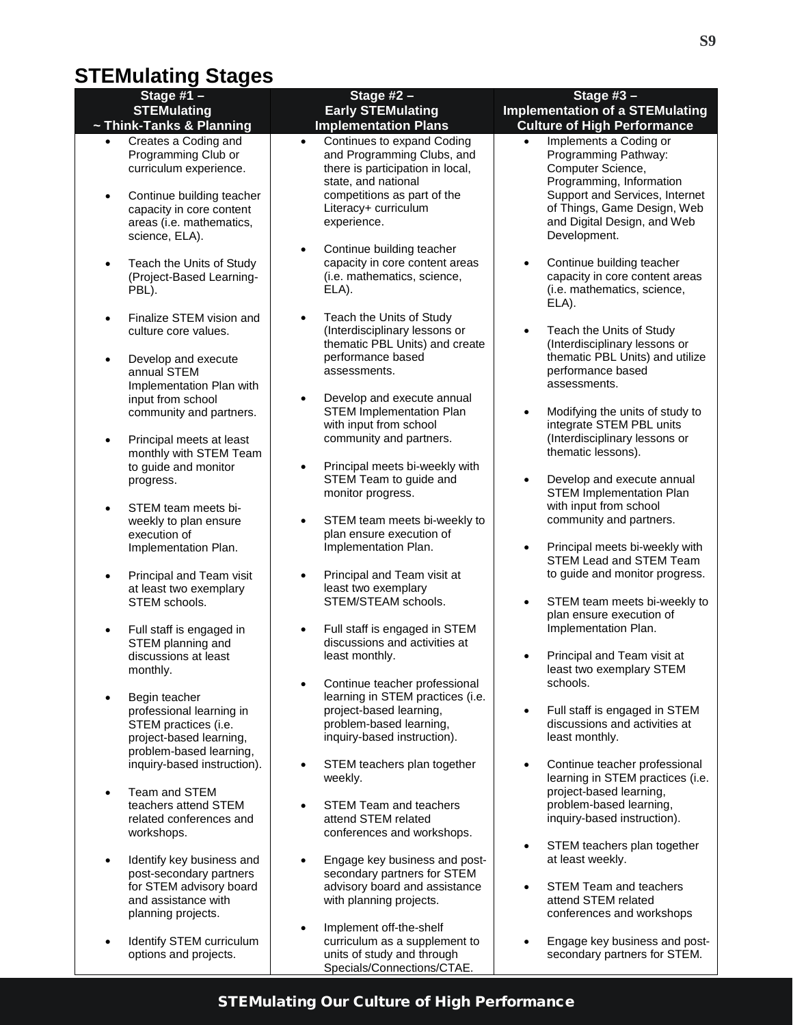## <span id="page-8-0"></span>**STEMulating Stages**

| Stage $#1 -$<br><b>STEMulating</b>                                                                                                                                                                     | Stage $#2 -$<br><b>Early STEMulating</b>                                                                                                                                                               | Stage $#3 -$<br><b>Implementation of a STEMulating</b>                                                                                                                                                                       |
|--------------------------------------------------------------------------------------------------------------------------------------------------------------------------------------------------------|--------------------------------------------------------------------------------------------------------------------------------------------------------------------------------------------------------|------------------------------------------------------------------------------------------------------------------------------------------------------------------------------------------------------------------------------|
| ~ Think-Tanks & Planning                                                                                                                                                                               | <b>Implementation Plans</b>                                                                                                                                                                            | <b>Culture of High Performance</b>                                                                                                                                                                                           |
| Creates a Coding and<br>$\bullet$<br>Programming Club or<br>curriculum experience.<br>Continue building teacher<br>$\bullet$<br>capacity in core content<br>areas (i.e. mathematics,<br>science, ELA). | Continues to expand Coding<br>$\bullet$<br>and Programming Clubs, and<br>there is participation in local,<br>state, and national<br>competitions as part of the<br>Literacy+ curriculum<br>experience. | Implements a Coding or<br>$\bullet$<br>Programming Pathway:<br>Computer Science,<br>Programming, Information<br>Support and Services, Internet<br>of Things, Game Design, Web<br>and Digital Design, and Web<br>Development. |
| Teach the Units of Study<br>$\bullet$<br>(Project-Based Learning-<br>PBL).                                                                                                                             | Continue building teacher<br>$\bullet$<br>capacity in core content areas<br>(i.e. mathematics, science,<br>ELA).                                                                                       | Continue building teacher<br>capacity in core content areas<br>(i.e. mathematics, science,<br>ELA).                                                                                                                          |
| Finalize STEM vision and<br>$\bullet$<br>culture core values.<br>Develop and execute<br>$\bullet$<br>annual STEM<br>Implementation Plan with                                                           | Teach the Units of Study<br>$\bullet$<br>(Interdisciplinary lessons or<br>thematic PBL Units) and create<br>performance based<br>assessments.                                                          | Teach the Units of Study<br>$\bullet$<br>(Interdisciplinary lessons or<br>thematic PBL Units) and utilize<br>performance based<br>assessments.                                                                               |
| input from school<br>community and partners.<br>Principal meets at least<br>$\bullet$                                                                                                                  | Develop and execute annual<br>$\bullet$<br><b>STEM Implementation Plan</b><br>with input from school<br>community and partners.                                                                        | Modifying the units of study to<br>$\bullet$<br>integrate STEM PBL units<br>(Interdisciplinary lessons or                                                                                                                    |
| monthly with STEM Team<br>to guide and monitor<br>progress.                                                                                                                                            | Principal meets bi-weekly with<br>$\bullet$<br>STEM Team to guide and<br>monitor progress.                                                                                                             | thematic lessons).<br>Develop and execute annual<br>STEM Implementation Plan                                                                                                                                                 |
| STEM team meets bi-<br>$\bullet$<br>weekly to plan ensure<br>execution of<br>Implementation Plan.                                                                                                      | STEM team meets bi-weekly to<br>$\bullet$<br>plan ensure execution of<br>Implementation Plan.                                                                                                          | with input from school<br>community and partners.<br>Principal meets bi-weekly with<br>$\bullet$                                                                                                                             |
| Principal and Team visit<br>$\bullet$<br>at least two exemplary<br>STEM schools.                                                                                                                       | Principal and Team visit at<br>٠<br>least two exemplary<br>STEM/STEAM schools.                                                                                                                         | STEM Lead and STEM Team<br>to guide and monitor progress.<br>STEM team meets bi-weekly to<br>$\bullet$<br>plan ensure execution of                                                                                           |
| Full staff is engaged in<br>$\bullet$<br>STEM planning and<br>discussions at least<br>monthly.                                                                                                         | Full staff is engaged in STEM<br>$\bullet$<br>discussions and activities at<br>least monthly.                                                                                                          | Implementation Plan.<br>Principal and Team visit at<br>least two exemplary STEM                                                                                                                                              |
| Begin teacher<br>professional learning in<br>STEM practices (i.e.                                                                                                                                      | Continue teacher professional<br>$\bullet$<br>learning in STEM practices (i.e.<br>project-based learning,<br>problem-based learning,                                                                   | schools.<br>Full staff is engaged in STEM<br>$\bullet$<br>discussions and activities at                                                                                                                                      |
| project-based learning,<br>problem-based learning,<br>inquiry-based instruction).                                                                                                                      | inquiry-based instruction).<br>STEM teachers plan together<br>$\bullet$                                                                                                                                | least monthly.<br>Continue teacher professional                                                                                                                                                                              |
| Team and STEM<br>$\bullet$<br>teachers attend STEM<br>related conferences and<br>workshops.                                                                                                            | weekly.<br><b>STEM Team and teachers</b><br>attend STEM related<br>conferences and workshops.                                                                                                          | learning in STEM practices (i.e.<br>project-based learning,<br>problem-based learning,<br>inquiry-based instruction).                                                                                                        |
| Identify key business and<br>$\bullet$<br>post-secondary partners<br>for STEM advisory board<br>and assistance with<br>planning projects.                                                              | Engage key business and post-<br>secondary partners for STEM<br>advisory board and assistance<br>with planning projects.                                                                               | STEM teachers plan together<br>$\bullet$<br>at least weekly.<br><b>STEM Team and teachers</b><br>attend STEM related<br>conferences and workshops                                                                            |
| Identify STEM curriculum<br>$\bullet$<br>options and projects.                                                                                                                                         | Implement off-the-shelf<br>$\bullet$<br>curriculum as a supplement to<br>units of study and through                                                                                                    | Engage key business and post-<br>secondary partners for STEM.                                                                                                                                                                |

Specials/Connections/CTAE.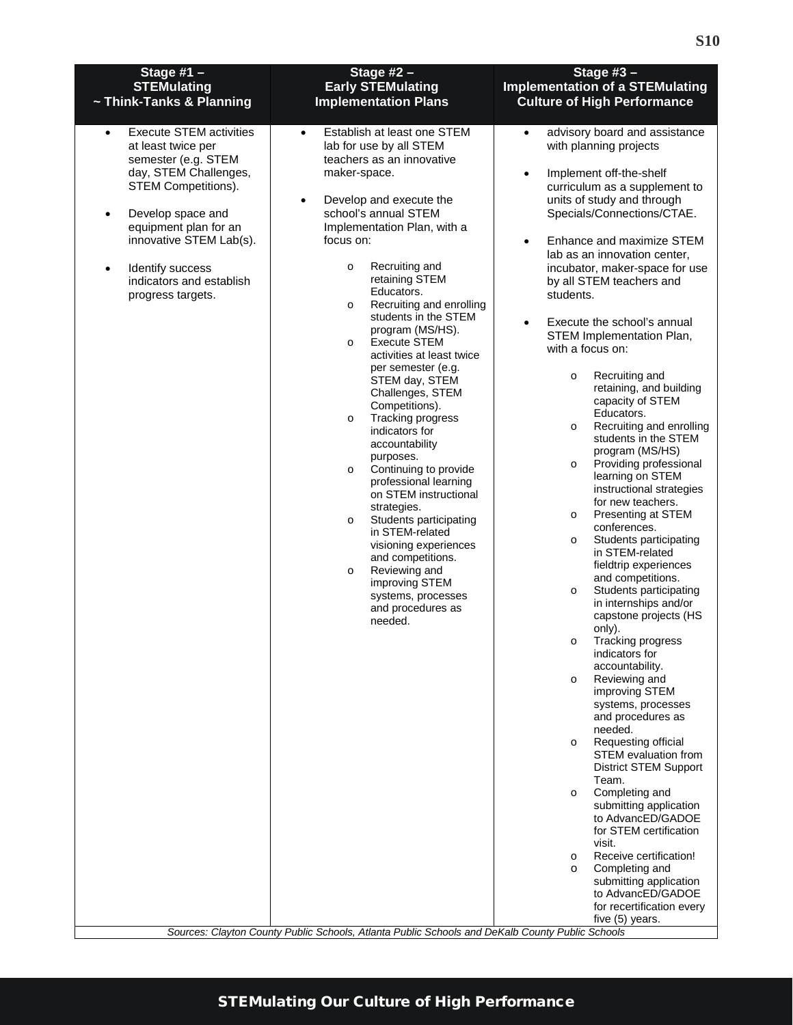<span id="page-9-0"></span>

| Stage #1 $-$<br><b>STEMulating</b><br>~ Think-Tanks & Planning                                                                                                                                                                                                                                                          | Stage $#2 -$<br><b>Early STEMulating</b><br><b>Implementation Plans</b>                                                                                                                                                                                                                                                                                                                                                                                                                                                                                                                                                                                                                                                                                                                                                                                                                                                   | Stage $#3 -$<br><b>Implementation of a STEMulating</b><br><b>Culture of High Performance</b>                                                                                                                                                                                                                                                                                                                                                                                                                                                                                                                                                                                                                                                                                                                                                                                                                                                                                                                                                                                                                                                                                                                                                                                                                                                                                                                                                                                                                                                                            |
|-------------------------------------------------------------------------------------------------------------------------------------------------------------------------------------------------------------------------------------------------------------------------------------------------------------------------|---------------------------------------------------------------------------------------------------------------------------------------------------------------------------------------------------------------------------------------------------------------------------------------------------------------------------------------------------------------------------------------------------------------------------------------------------------------------------------------------------------------------------------------------------------------------------------------------------------------------------------------------------------------------------------------------------------------------------------------------------------------------------------------------------------------------------------------------------------------------------------------------------------------------------|-------------------------------------------------------------------------------------------------------------------------------------------------------------------------------------------------------------------------------------------------------------------------------------------------------------------------------------------------------------------------------------------------------------------------------------------------------------------------------------------------------------------------------------------------------------------------------------------------------------------------------------------------------------------------------------------------------------------------------------------------------------------------------------------------------------------------------------------------------------------------------------------------------------------------------------------------------------------------------------------------------------------------------------------------------------------------------------------------------------------------------------------------------------------------------------------------------------------------------------------------------------------------------------------------------------------------------------------------------------------------------------------------------------------------------------------------------------------------------------------------------------------------------------------------------------------------|
| <b>Execute STEM activities</b><br>$\bullet$<br>at least twice per<br>semester (e.g. STEM<br>day, STEM Challenges,<br><b>STEM Competitions).</b><br>Develop space and<br>$\bullet$<br>equipment plan for an<br>innovative STEM Lab(s).<br>Identify success<br>$\bullet$<br>indicators and establish<br>progress targets. | Establish at least one STEM<br>$\bullet$<br>lab for use by all STEM<br>teachers as an innovative<br>maker-space.<br>Develop and execute the<br>$\bullet$<br>school's annual STEM<br>Implementation Plan, with a<br>focus on:<br>Recruiting and<br>$\circ$<br>retaining STEM<br>Educators.<br>Recruiting and enrolling<br>$\circ$<br>students in the STEM<br>program (MS/HS).<br><b>Execute STEM</b><br>$\circ$<br>activities at least twice<br>per semester (e.g.<br>STEM day, STEM<br>Challenges, STEM<br>Competitions).<br>Tracking progress<br>$\circ$<br>indicators for<br>accountability<br>purposes.<br>Continuing to provide<br>$\circ$<br>professional learning<br>on STEM instructional<br>strategies.<br>Students participating<br>$\circ$<br>in STEM-related<br>visioning experiences<br>and competitions.<br>Reviewing and<br>$\circ$<br>improving STEM<br>systems, processes<br>and procedures as<br>needed. | advisory board and assistance<br>$\bullet$<br>with planning projects<br>Implement off-the-shelf<br>$\bullet$<br>curriculum as a supplement to<br>units of study and through<br>Specials/Connections/CTAE.<br>Enhance and maximize STEM<br>$\bullet$<br>lab as an innovation center,<br>incubator, maker-space for use<br>by all STEM teachers and<br>students.<br>Execute the school's annual<br>$\bullet$<br>STEM Implementation Plan,<br>with a focus on:<br>Recruiting and<br>$\circ$<br>retaining, and building<br>capacity of STEM<br>Educators.<br>Recruiting and enrolling<br>$\circ$<br>students in the STEM<br>program (MS/HS)<br>Providing professional<br>$\circ$<br>learning on STEM<br>instructional strategies<br>for new teachers.<br>Presenting at STEM<br>$\circ$<br>conferences.<br>Students participating<br>$\circ$<br>in STEM-related<br>fieldtrip experiences<br>and competitions.<br>Students participating<br>$\circ$<br>in internships and/or<br>capstone projects (HS<br>only).<br>Tracking progress<br>O<br>indicators for<br>accountability.<br>Reviewing and<br>$\circ$<br>improving STEM<br>systems, processes<br>and procedures as<br>needed.<br>Requesting official<br>$\circ$<br><b>STEM</b> evaluation from<br><b>District STEM Support</b><br>Team.<br>Completing and<br>$\circ$<br>submitting application<br>to AdvancED/GADOE<br>for STEM certification<br>visit.<br>Receive certification!<br>$\circ$<br>Completing and<br>$\circ$<br>submitting application<br>to AdvancED/GADOE<br>for recertification every<br>five (5) years. |
|                                                                                                                                                                                                                                                                                                                         | Sources: Clayton County Public Schools, Atlanta Public Schools and DeKalb County Public Schools                                                                                                                                                                                                                                                                                                                                                                                                                                                                                                                                                                                                                                                                                                                                                                                                                           |                                                                                                                                                                                                                                                                                                                                                                                                                                                                                                                                                                                                                                                                                                                                                                                                                                                                                                                                                                                                                                                                                                                                                                                                                                                                                                                                                                                                                                                                                                                                                                         |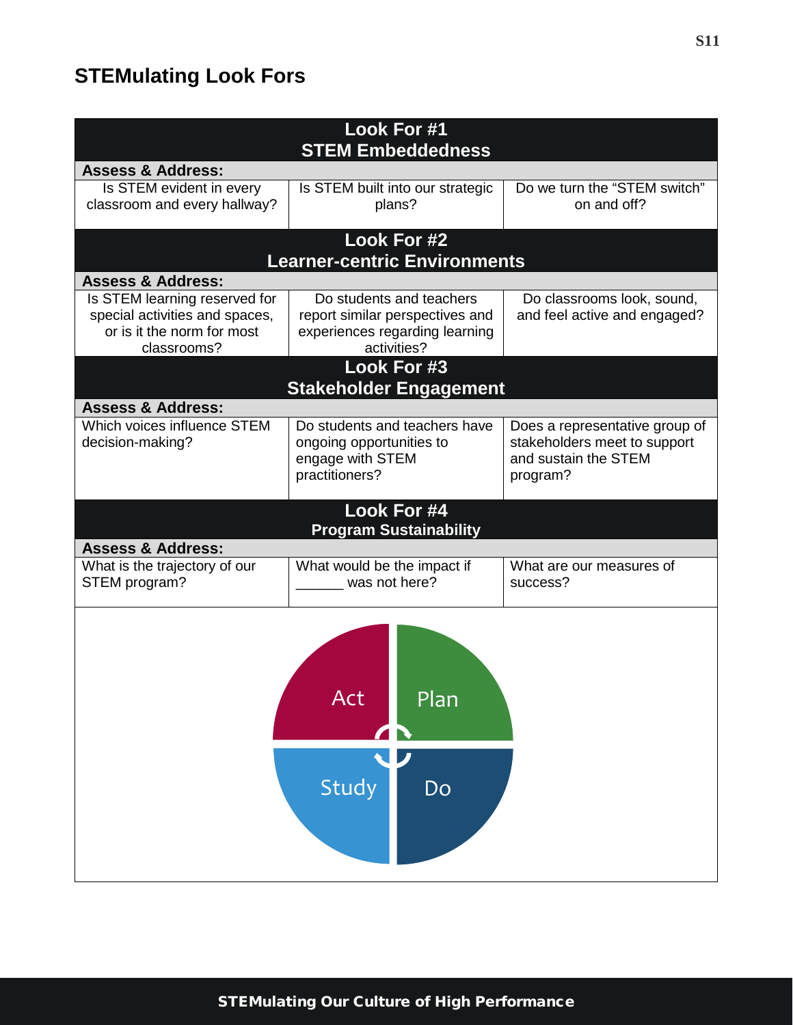## <span id="page-10-0"></span>**STEMulating Look Fors**

| Look For #1<br><b>STEM Embeddedness</b> |                                                     |                                |  |  |
|-----------------------------------------|-----------------------------------------------------|--------------------------------|--|--|
| <b>Assess &amp; Address:</b>            |                                                     |                                |  |  |
| Is STEM evident in every                | Is STEM built into our strategic                    | Do we turn the "STEM switch"   |  |  |
| classroom and every hallway?            | plans?                                              | on and off?                    |  |  |
|                                         |                                                     |                                |  |  |
|                                         | Look For #2<br><b>Learner-centric Environments</b>  |                                |  |  |
| <b>Assess &amp; Address:</b>            |                                                     |                                |  |  |
| Is STEM learning reserved for           | Do students and teachers                            | Do classrooms look, sound,     |  |  |
| special activities and spaces,          | report similar perspectives and                     | and feel active and engaged?   |  |  |
| or is it the norm for most              | experiences regarding learning                      |                                |  |  |
| classrooms?                             | activities?                                         |                                |  |  |
|                                         | Look For #3                                         |                                |  |  |
|                                         | <b>Stakeholder Engagement</b>                       |                                |  |  |
| <b>Assess &amp; Address:</b>            |                                                     |                                |  |  |
| Which voices influence STEM             | Do students and teachers have                       | Does a representative group of |  |  |
| decision-making?                        | ongoing opportunities to                            | stakeholders meet to support   |  |  |
|                                         | engage with STEM                                    | and sustain the STEM           |  |  |
|                                         | practitioners?                                      | program?                       |  |  |
|                                         |                                                     |                                |  |  |
|                                         | <b>Look For #4</b><br><b>Program Sustainability</b> |                                |  |  |
| <b>Assess &amp; Address:</b>            |                                                     |                                |  |  |
| What is the trajectory of our           | What would be the impact if                         | What are our measures of       |  |  |
| STEM program?                           | was not here?                                       | success?                       |  |  |
|                                         |                                                     |                                |  |  |
| <u>Plan</u><br>ACt<br>Study<br>Do       |                                                     |                                |  |  |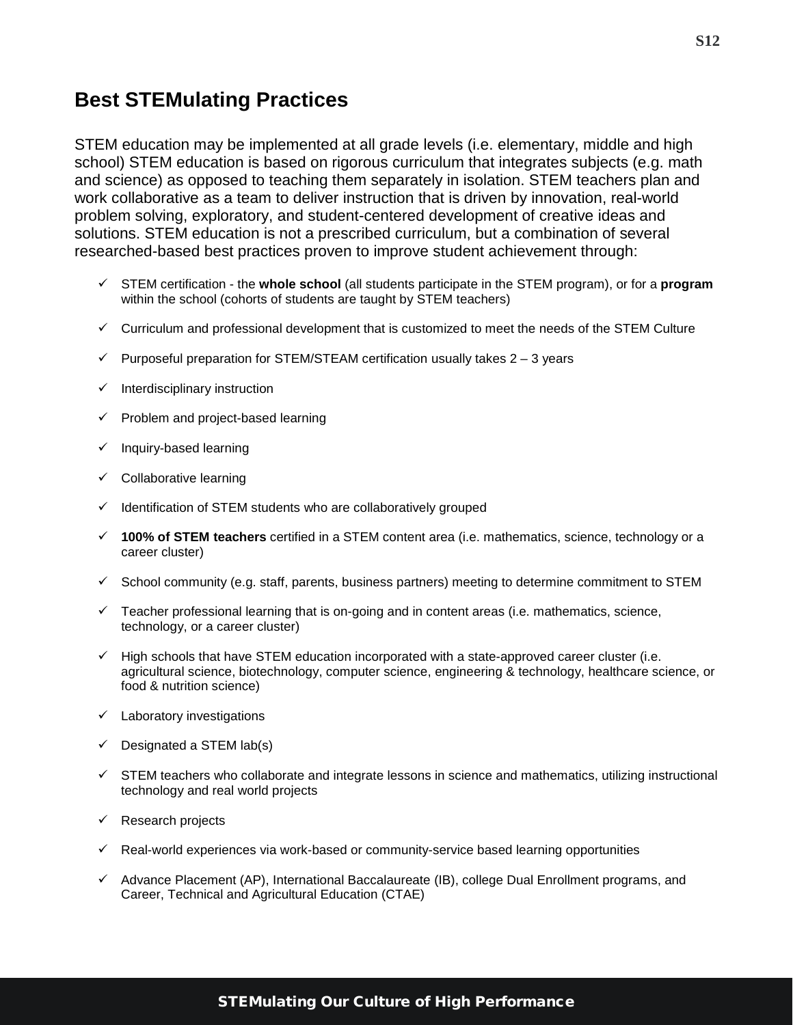### <span id="page-11-0"></span>**Best STEMulating Practices**

STEM education may be implemented at all grade levels (i.e. elementary, middle and high school) STEM education is based on rigorous curriculum that integrates subjects (e.g. math and science) as opposed to teaching them separately in isolation. STEM teachers plan and work collaborative as a team to deliver instruction that is driven by innovation, real-world problem solving, exploratory, and student-centered development of creative ideas and solutions. STEM education is not a prescribed curriculum, but a combination of several researched-based best practices proven to improve student achievement through:

- STEM certification the **whole school** (all students participate in the STEM program), or for a **program**  within the school (cohorts of students are taught by STEM teachers)
- $\checkmark$  Curriculum and professional development that is customized to meet the needs of the STEM Culture
- $\checkmark$  Purposeful preparation for STEM/STEAM certification usually takes 2 3 years
- $\checkmark$  Interdisciplinary instruction
- $\checkmark$  Problem and project-based learning
- $\checkmark$  Inquiry-based learning
- $\checkmark$  Collaborative learning
- $\checkmark$  Identification of STEM students who are collaboratively grouped
- **100% of STEM teachers** certified in a STEM content area (i.e. mathematics, science, technology or a career cluster)
- $\checkmark$  School community (e.g. staff, parents, business partners) meeting to determine commitment to STEM
- $\checkmark$  Teacher professional learning that is on-going and in content areas (i.e. mathematics, science, technology, or a career cluster)
- $\checkmark$  High schools that have STEM education incorporated with a state-approved career cluster (i.e. agricultural science, biotechnology, computer science, engineering & technology, healthcare science, or food & nutrition science)
- $\checkmark$  Laboratory investigations
- $\checkmark$  Designated a STEM lab(s)
- $\checkmark$  STEM teachers who collaborate and integrate lessons in science and mathematics, utilizing instructional technology and real world projects
- $\checkmark$  Research projects
- $\checkmark$  Real-world experiences via work-based or community-service based learning opportunities
- $\checkmark$  Advance Placement (AP), International Baccalaureate (IB), college Dual Enrollment programs, and Career, Technical and Agricultural Education (CTAE)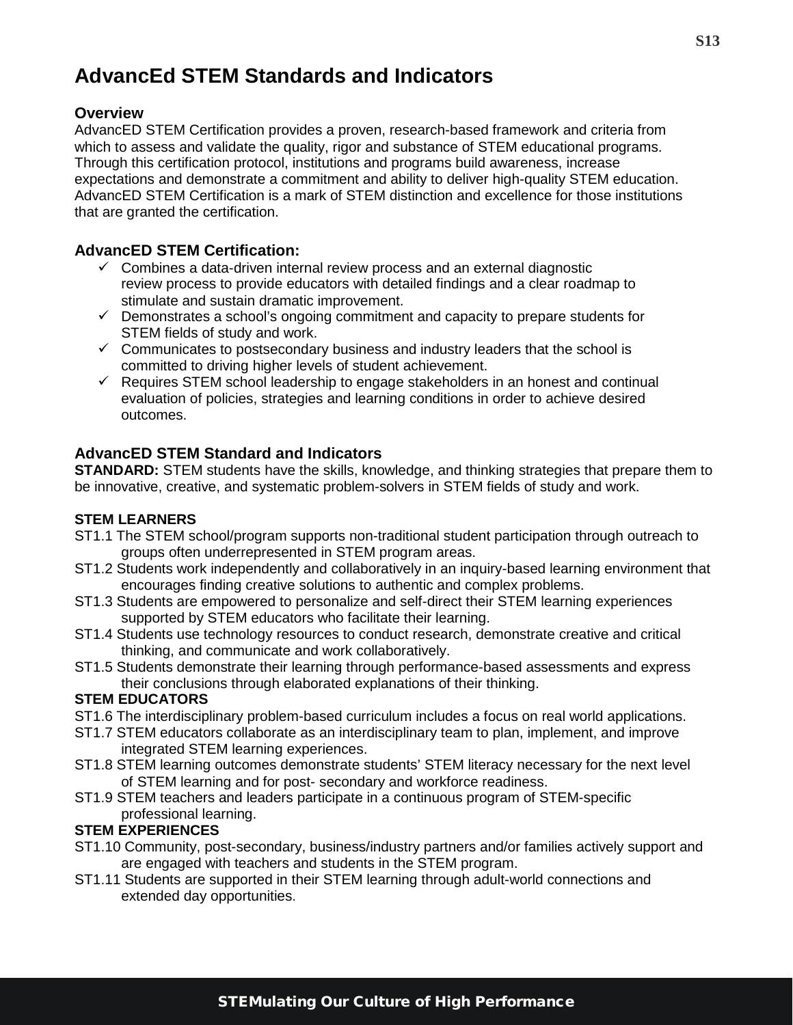## <span id="page-12-0"></span>**AdvancEd STEM Standards and Indicators**

#### **Overview**

AdvancED STEM Certification provides a proven, research-based framework and criteria from which to assess and validate the quality, rigor and substance of STEM educational programs. Through this certification protocol, institutions and programs build awareness, increase expectations and demonstrate a commitment and ability to deliver high-quality STEM education. AdvancED STEM Certification is a mark of STEM distinction and excellence for those institutions that are granted the certification.

#### **AdvancED STEM Certification:**

- $\checkmark$  Combines a data-driven internal review process and an external diagnostic review process to provide educators with detailed findings and a clear roadmap to stimulate and sustain dramatic improvement.
- $\checkmark$  Demonstrates a school's ongoing commitment and capacity to prepare students for STEM fields of study and work.
- $\checkmark$  Communicates to postsecondary business and industry leaders that the school is committed to driving higher levels of student achievement.
- $\checkmark$  Requires STEM school leadership to engage stakeholders in an honest and continual evaluation of policies, strategies and learning conditions in order to achieve desired outcomes.

#### **AdvancED STEM Standard and Indicators**

**STANDARD:** STEM students have the skills, knowledge, and thinking strategies that prepare them to be innovative, creative, and systematic problem-solvers in STEM fields of study and work.

#### **STEM LEARNERS**

- ST1.1 The STEM school/program supports non-traditional student participation through outreach to groups often underrepresented in STEM program areas.
- ST1.2 Students work independently and collaboratively in an inquiry-based learning environment that encourages finding creative solutions to authentic and complex problems.
- ST1.3 Students are empowered to personalize and self-direct their STEM learning experiences supported by STEM educators who facilitate their learning.
- ST1.4 Students use technology resources to conduct research, demonstrate creative and critical thinking, and communicate and work collaboratively.
- ST1.5 Students demonstrate their learning through performance-based assessments and express their conclusions through elaborated explanations of their thinking.

#### **STEM EDUCATORS**

- ST1.6 The interdisciplinary problem-based curriculum includes a focus on real world applications.
- ST1.7 STEM educators collaborate as an interdisciplinary team to plan, implement, and improve integrated STEM learning experiences.
- ST1.8 STEM learning outcomes demonstrate students' STEM literacy necessary for the next level of STEM learning and for post- secondary and workforce readiness.
- ST1.9 STEM teachers and leaders participate in a continuous program of STEM-specific professional learning.

#### **STEM EXPERIENCES**

- ST1.10 Community, post-secondary, business/industry partners and/or families actively support and are engaged with teachers and students in the STEM program.
- ST1.11 Students are supported in their STEM learning through adult-world connections and extended day opportunities.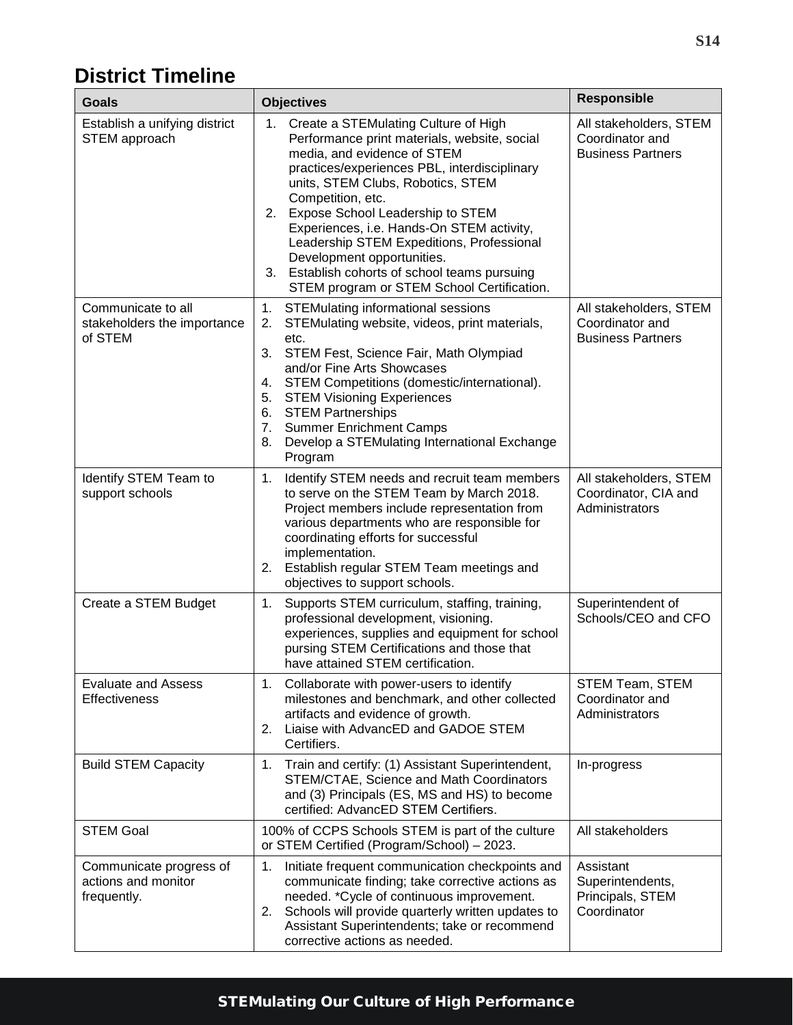## <span id="page-13-0"></span>**District Timeline**

| Goals                                                         | <b>Objectives</b>                                                                                                                                                                                                                                                                                                                                                                                                                                                                                    | Responsible                                                           |
|---------------------------------------------------------------|------------------------------------------------------------------------------------------------------------------------------------------------------------------------------------------------------------------------------------------------------------------------------------------------------------------------------------------------------------------------------------------------------------------------------------------------------------------------------------------------------|-----------------------------------------------------------------------|
| Establish a unifying district<br>STEM approach                | Create a STEMulating Culture of High<br>1.<br>Performance print materials, website, social<br>media, and evidence of STEM<br>practices/experiences PBL, interdisciplinary<br>units, STEM Clubs, Robotics, STEM<br>Competition, etc.<br>Expose School Leadership to STEM<br>2.<br>Experiences, i.e. Hands-On STEM activity,<br>Leadership STEM Expeditions, Professional<br>Development opportunities.<br>3. Establish cohorts of school teams pursuing<br>STEM program or STEM School Certification. | All stakeholders, STEM<br>Coordinator and<br><b>Business Partners</b> |
| Communicate to all<br>stakeholders the importance<br>of STEM  | <b>STEMulating informational sessions</b><br>1.<br>STEMulating website, videos, print materials,<br>2.<br>etc.<br>STEM Fest, Science Fair, Math Olympiad<br>3.<br>and/or Fine Arts Showcases<br>STEM Competitions (domestic/international).<br>4.<br><b>STEM Visioning Experiences</b><br>5.<br>6. STEM Partnerships<br>7.<br><b>Summer Enrichment Camps</b><br>Develop a STEMulating International Exchange<br>8.<br>Program                                                                        | All stakeholders, STEM<br>Coordinator and<br><b>Business Partners</b> |
| Identify STEM Team to<br>support schools                      | Identify STEM needs and recruit team members<br>1.<br>to serve on the STEM Team by March 2018.<br>Project members include representation from<br>various departments who are responsible for<br>coordinating efforts for successful<br>implementation.<br>2. Establish regular STEM Team meetings and<br>objectives to support schools.                                                                                                                                                              | All stakeholders, STEM<br>Coordinator, CIA and<br>Administrators      |
| Create a STEM Budget                                          | Supports STEM curriculum, staffing, training,<br>1.<br>professional development, visioning.<br>experiences, supplies and equipment for school<br>pursing STEM Certifications and those that<br>have attained STEM certification.                                                                                                                                                                                                                                                                     | Superintendent of<br>Schools/CEO and CFO                              |
| <b>Evaluate and Assess</b><br><b>Effectiveness</b>            | Collaborate with power-users to identify<br>1.<br>milestones and benchmark, and other collected<br>artifacts and evidence of growth.<br>Liaise with AdvancED and GADOE STEM<br>2.<br>Certifiers.                                                                                                                                                                                                                                                                                                     | STEM Team, STEM<br>Coordinator and<br>Administrators                  |
| <b>Build STEM Capacity</b>                                    | 1.<br>Train and certify: (1) Assistant Superintendent,<br>STEM/CTAE, Science and Math Coordinators<br>and (3) Principals (ES, MS and HS) to become<br>certified: AdvancED STEM Certifiers.                                                                                                                                                                                                                                                                                                           | In-progress                                                           |
| <b>STEM Goal</b>                                              | 100% of CCPS Schools STEM is part of the culture<br>or STEM Certified (Program/School) - 2023.                                                                                                                                                                                                                                                                                                                                                                                                       | All stakeholders                                                      |
| Communicate progress of<br>actions and monitor<br>frequently. | 1.<br>Initiate frequent communication checkpoints and<br>communicate finding; take corrective actions as<br>needed. *Cycle of continuous improvement.<br>Schools will provide quarterly written updates to<br>2.<br>Assistant Superintendents; take or recommend<br>corrective actions as needed.                                                                                                                                                                                                    | Assistant<br>Superintendents,<br>Principals, STEM<br>Coordinator      |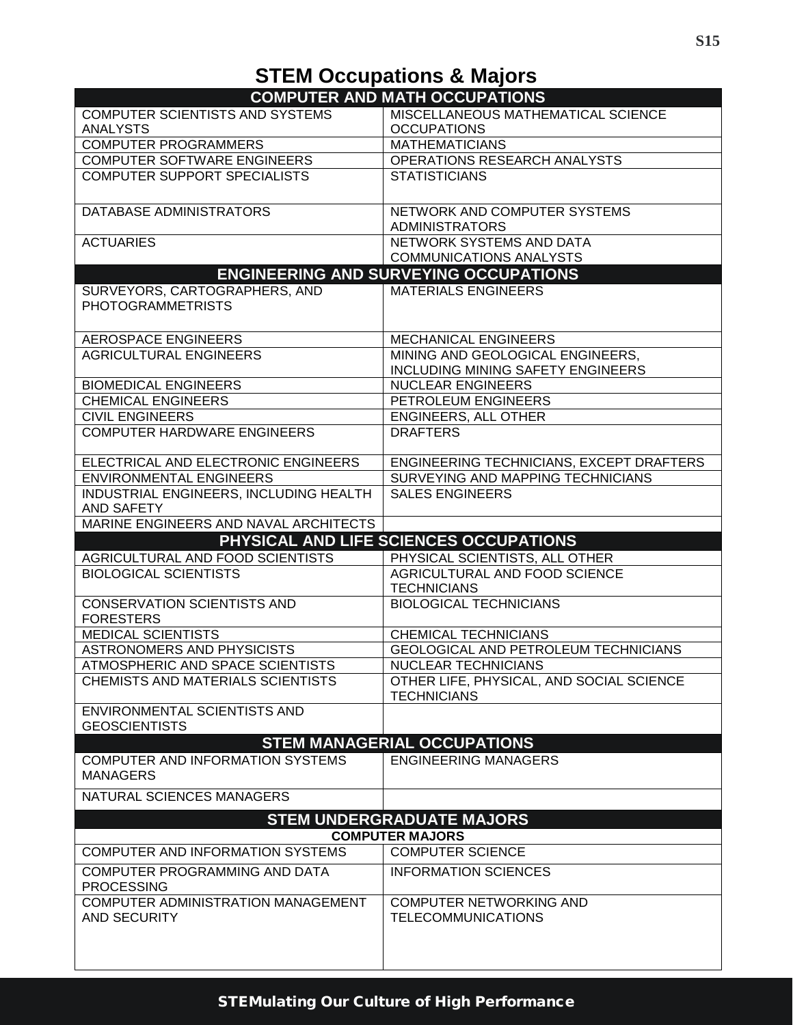# **STEM Occupations & Majors**

<span id="page-14-0"></span>

| COMPUTER AND MATH OCCUPATIONS                       |                                                                   |
|-----------------------------------------------------|-------------------------------------------------------------------|
| <b>COMPUTER SCIENTISTS AND SYSTEMS</b>              | MISCELLANEOUS MATHEMATICAL SCIENCE                                |
| <b>ANALYSTS</b>                                     | <b>OCCUPATIONS</b>                                                |
| <b>COMPUTER PROGRAMMERS</b>                         | <b>MATHEMATICIANS</b>                                             |
| <b>COMPUTER SOFTWARE ENGINEERS</b>                  | OPERATIONS RESEARCH ANALYSTS                                      |
| <b>COMPUTER SUPPORT SPECIALISTS</b>                 | <b>STATISTICIANS</b>                                              |
| DATABASE ADMINISTRATORS                             | NETWORK AND COMPUTER SYSTEMS                                      |
|                                                     | <b>ADMINISTRATORS</b>                                             |
| <b>ACTUARIES</b>                                    | NETWORK SYSTEMS AND DATA                                          |
|                                                     | <b>COMMUNICATIONS ANALYSTS</b>                                    |
|                                                     | <b>ENGINEERING AND SURVEYING OCCUPATIONS</b>                      |
| SURVEYORS, CARTOGRAPHERS, AND                       | <b>MATERIALS ENGINEERS</b>                                        |
| <b>PHOTOGRAMMETRISTS</b>                            |                                                                   |
| AEROSPACE ENGINEERS                                 | <b>MECHANICAL ENGINEERS</b>                                       |
| <b>AGRICULTURAL ENGINEERS</b>                       | MINING AND GEOLOGICAL ENGINEERS,                                  |
|                                                     | <b>INCLUDING MINING SAFETY ENGINEERS</b>                          |
| <b>BIOMEDICAL ENGINEERS</b>                         | <b>NUCLEAR ENGINEERS</b>                                          |
| <b>CHEMICAL ENGINEERS</b>                           | PETROLEUM ENGINEERS                                               |
| <b>CIVIL ENGINEERS</b>                              | <b>ENGINEERS, ALL OTHER</b>                                       |
| <b>COMPUTER HARDWARE ENGINEERS</b>                  | <b>DRAFTERS</b>                                                   |
| ELECTRICAL AND ELECTRONIC ENGINEERS                 | ENGINEERING TECHNICIANS, EXCEPT DRAFTERS                          |
| <b>ENVIRONMENTAL ENGINEERS</b>                      | SURVEYING AND MAPPING TECHNICIANS                                 |
| INDUSTRIAL ENGINEERS, INCLUDING HEALTH              | <b>SALES ENGINEERS</b>                                            |
| AND SAFETY                                          |                                                                   |
| MARINE ENGINEERS AND NAVAL ARCHITECTS               |                                                                   |
|                                                     |                                                                   |
|                                                     |                                                                   |
|                                                     | PHYSICAL AND LIFE SCIENCES OCCUPATIONS                            |
| AGRICULTURAL AND FOOD SCIENTISTS                    | PHYSICAL SCIENTISTS, ALL OTHER                                    |
| <b>BIOLOGICAL SCIENTISTS</b>                        | AGRICULTURAL AND FOOD SCIENCE<br><b>TECHNICIANS</b>               |
| <b>CONSERVATION SCIENTISTS AND</b>                  | <b>BIOLOGICAL TECHNICIANS</b>                                     |
| <b>FORESTERS</b>                                    |                                                                   |
| <b>MEDICAL SCIENTISTS</b>                           | <b>CHEMICAL TECHNICIANS</b>                                       |
| ASTRONOMERS AND PHYSICISTS                          | <b>GEOLOGICAL AND PETROLEUM TECHNICIANS</b>                       |
| ATMOSPHERIC AND SPACE SCIENTISTS                    | <b>NUCLEAR TECHNICIANS</b>                                        |
| CHEMISTS AND MATERIALS SCIENTISTS                   | OTHER LIFE, PHYSICAL, AND SOCIAL SCIENCE                          |
|                                                     | <b>TECHNICIANS</b>                                                |
| <b>ENVIRONMENTAL SCIENTISTS AND</b>                 |                                                                   |
| <b>GEOSCIENTISTS</b>                                |                                                                   |
|                                                     |                                                                   |
| COMPUTER AND INFORMATION SYSTEMS<br><b>MANAGERS</b> | <b>STEM MANAGERIAL OCCUPATIONS</b><br><b>ENGINEERING MANAGERS</b> |
| NATURAL SCIENCES MANAGERS                           |                                                                   |
|                                                     |                                                                   |
|                                                     | <b>STEM UNDERGRADUATE MAJORS</b>                                  |
| COMPUTER AND INFORMATION SYSTEMS                    | <b>COMPUTER MAJORS</b><br><b>COMPUTER SCIENCE</b>                 |
| COMPUTER PROGRAMMING AND DATA<br><b>PROCESSING</b>  | <b>INFORMATION SCIENCES</b>                                       |
| COMPUTER ADMINISTRATION MANAGEMENT<br>AND SECURITY  | <b>COMPUTER NETWORKING AND</b><br><b>TELECOMMUNICATIONS</b>       |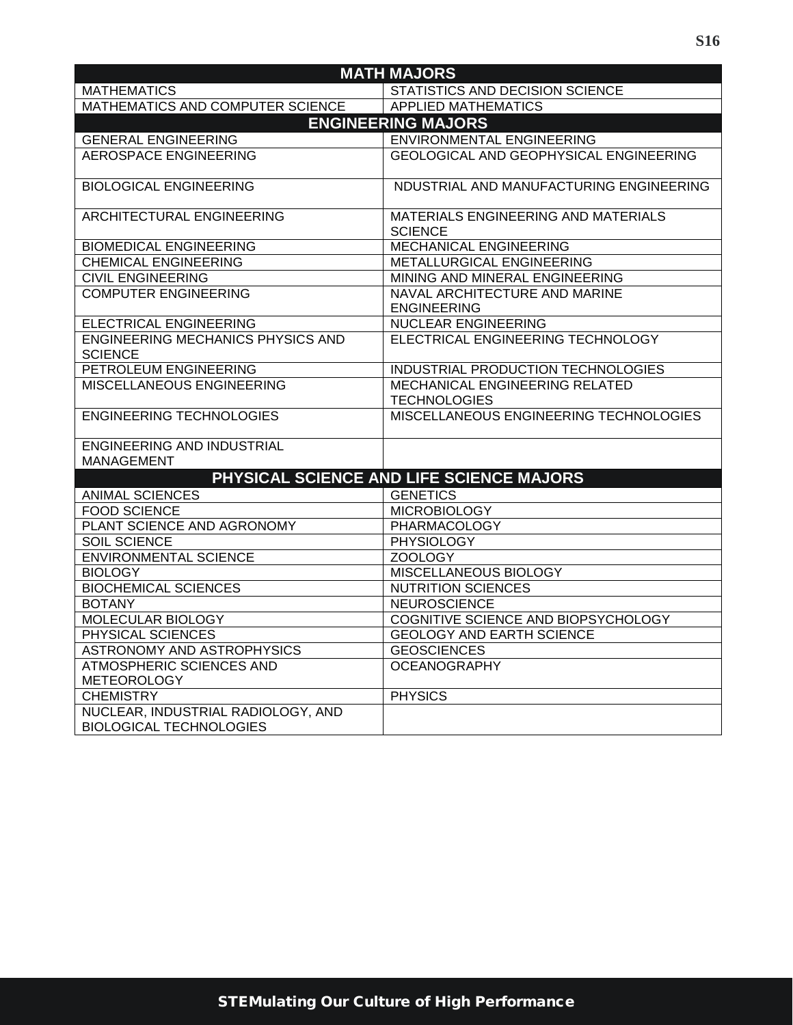| <b>MATH MAJORS</b>                                                   |                                                       |  |  |
|----------------------------------------------------------------------|-------------------------------------------------------|--|--|
| <b>MATHEMATICS</b>                                                   | STATISTICS AND DECISION SCIENCE                       |  |  |
| MATHEMATICS AND COMPUTER SCIENCE                                     | <b>APPLIED MATHEMATICS</b>                            |  |  |
| <b>ENGINEERING MAJORS</b>                                            |                                                       |  |  |
| <b>GENERAL ENGINEERING</b>                                           | <b>ENVIRONMENTAL ENGINEERING</b>                      |  |  |
| <b>AEROSPACE ENGINEERING</b>                                         | <b>GEOLOGICAL AND GEOPHYSICAL ENGINEERING</b>         |  |  |
| <b>BIOLOGICAL ENGINEERING</b>                                        | NDUSTRIAL AND MANUFACTURING ENGINEERING               |  |  |
| ARCHITECTURAL ENGINEERING                                            | MATERIALS ENGINEERING AND MATERIALS<br><b>SCIENCE</b> |  |  |
| <b>BIOMEDICAL ENGINEERING</b>                                        | <b>MECHANICAL ENGINEERING</b>                         |  |  |
| <b>CHEMICAL ENGINEERING</b>                                          | METALLURGICAL ENGINEERING                             |  |  |
| <b>CIVIL ENGINEERING</b>                                             | MINING AND MINERAL ENGINEERING                        |  |  |
| <b>COMPUTER ENGINEERING</b>                                          | NAVAL ARCHITECTURE AND MARINE<br><b>ENGINEERING</b>   |  |  |
| ELECTRICAL ENGINEERING                                               | <b>NUCLEAR ENGINEERING</b>                            |  |  |
| <b>ENGINEERING MECHANICS PHYSICS AND</b><br><b>SCIENCE</b>           | ELECTRICAL ENGINEERING TECHNOLOGY                     |  |  |
| PETROLEUM ENGINEERING                                                | INDUSTRIAL PRODUCTION TECHNOLOGIES                    |  |  |
| MISCELLANEOUS ENGINEERING                                            | MECHANICAL ENGINEERING RELATED<br><b>TECHNOLOGIES</b> |  |  |
| <b>ENGINEERING TECHNOLOGIES</b>                                      | MISCELLANEOUS ENGINEERING TECHNOLOGIES                |  |  |
| <b>ENGINEERING AND INDUSTRIAL</b><br><b>MANAGEMENT</b>               |                                                       |  |  |
|                                                                      | PHYSICAL SCIENCE AND LIFE SCIENCE MAJORS              |  |  |
| <b>ANIMAL SCIENCES</b>                                               | <b>GENETICS</b>                                       |  |  |
| <b>FOOD SCIENCE</b>                                                  | <b>MICROBIOLOGY</b>                                   |  |  |
| PLANT SCIENCE AND AGRONOMY                                           | PHARMACOLOGY                                          |  |  |
| SOIL SCIENCE                                                         | <b>PHYSIOLOGY</b>                                     |  |  |
| <b>ENVIRONMENTAL SCIENCE</b>                                         | ZOOLOGY                                               |  |  |
| <b>BIOLOGY</b>                                                       | MISCELLANEOUS BIOLOGY                                 |  |  |
| <b>BIOCHEMICAL SCIENCES</b>                                          | <b>NUTRITION SCIENCES</b>                             |  |  |
| <b>BOTANY</b>                                                        | <b>NEUROSCIENCE</b>                                   |  |  |
| MOLECULAR BIOLOGY                                                    | COGNITIVE SCIENCE AND BIOPSYCHOLOGY                   |  |  |
| PHYSICAL SCIENCES                                                    | <b>GEOLOGY AND EARTH SCIENCE</b>                      |  |  |
| ASTRONOMY AND ASTROPHYSICS                                           | <b>GEOSCIENCES</b>                                    |  |  |
| <b>ATMOSPHERIC SCIENCES AND</b>                                      | <b>OCEANOGRAPHY</b>                                   |  |  |
| <b>METEOROLOGY</b>                                                   |                                                       |  |  |
| <b>CHEMISTRY</b>                                                     | <b>PHYSICS</b>                                        |  |  |
| NUCLEAR, INDUSTRIAL RADIOLOGY, AND<br><b>BIOLOGICAL TECHNOLOGIES</b> |                                                       |  |  |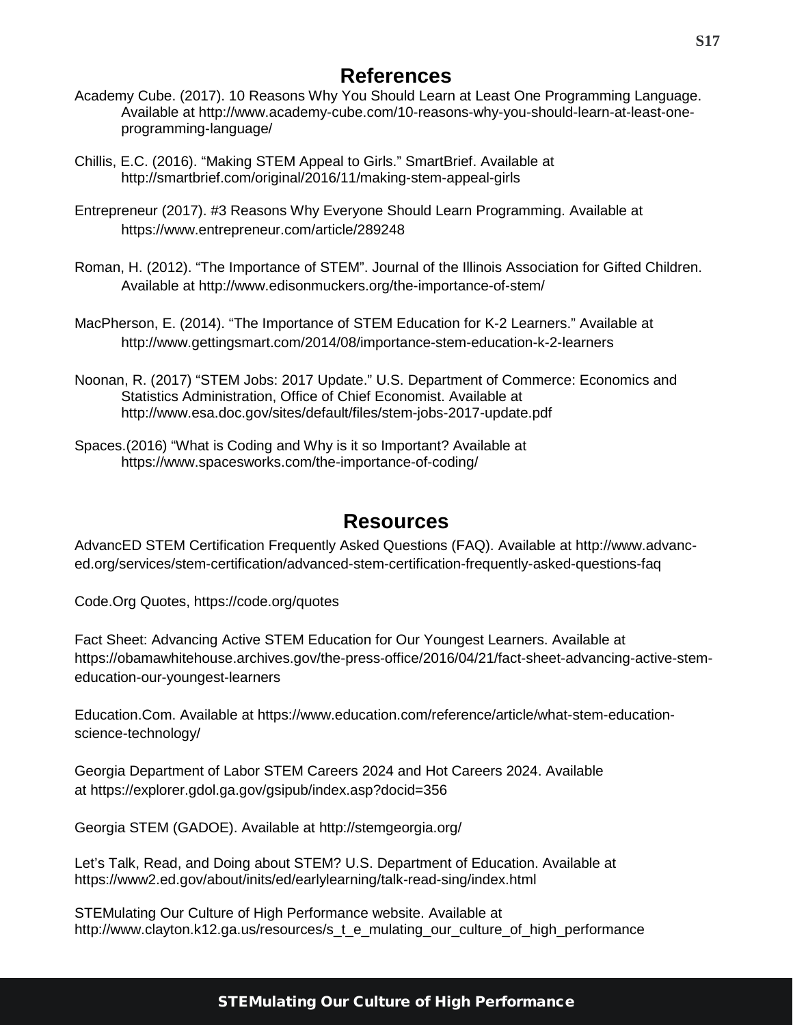### **References**

- Academy Cube. (2017). 10 Reasons Why You Should Learn at Least One Programming Language. Available at [http://www.academy-cube.com/10-reasons-why-you-should-learn-at-least-one](http://www.academy-cube.com/10-reasons-why-you-should-learn-at-least-one-programming-language/)[programming-language/](http://www.academy-cube.com/10-reasons-why-you-should-learn-at-least-one-programming-language/)
- Chillis, E.C. (2016). "Making STEM Appeal to Girls." SmartBrief. Available at http://smartbrief.com/original/2016/11/making-stem-appeal-girls
- Entrepreneur (2017). #3 Reasons Why Everyone Should Learn Programming. Available at https://www.entrepreneur.com/article/289248
- Roman, H. (2012). "The Importance of STEM". Journal of the Illinois Association for Gifted Children. Available at http://www.edisonmuckers.org/the-importance-of-stem/
- MacPherson, E. (2014). "The Importance of STEM Education for K-2 Learners." Available at http://www.gettingsmart.com/2014/08/importance-stem-education-k-2-learners
- Noonan, R. (2017) "STEM Jobs: 2017 Update." U.S. Department of Commerce: Economics and Statistics Administration, Office of Chief Economist. Available at http://www.esa.doc.gov/sites/default/files/stem-jobs-2017-update.pdf
- Spaces.(2016) "What is Coding and Why is it so Important? Available at https://www.spacesworks.com/the-importance-of-coding/

### **Resources**

<span id="page-16-0"></span>AdvancED STEM Certification Frequently Asked Questions (FAQ). Available at [http://www.advanc](http://www.advanc-ed.org/services/stem-certification/advanced-stem-certification-frequently-asked-questions-faq)[ed.org/services/stem-certification/advanced-stem-certification-frequently-asked-questions-faq](http://www.advanc-ed.org/services/stem-certification/advanced-stem-certification-frequently-asked-questions-faq)

Code.Org Quotes,<https://code.org/quotes>

Fact Sheet: Advancing Active STEM Education for Our Youngest Learners. Available at https://obamawhitehouse.archives.gov/the-press-office/2016/04/21/fact-sheet-advancing-active-stemeducation-our-youngest-learners

Education.Com. Available at https://www.education.com/reference/article/what-stem-educationscience-technology/

Georgia Department of Labor STEM Careers 2024 and Hot Careers 2024. Available at https://explorer.gdol.ga.gov/gsipub/index.asp?docid=356

Georgia STEM (GADOE). Available at http://stemgeorgia.org/

Let's Talk, Read, and Doing about STEM? U.S. Department of Education. Available at https://www2.ed.gov/about/inits/ed/earlylearning/talk-read-sing/index.html

STEMulating Our Culture of High Performance website. Available at http://www.clayton.k12.ga.us/resources/s\_t\_e\_mulating\_our\_culture\_of\_high\_performance

#### STEMulating Our Culture of High Performance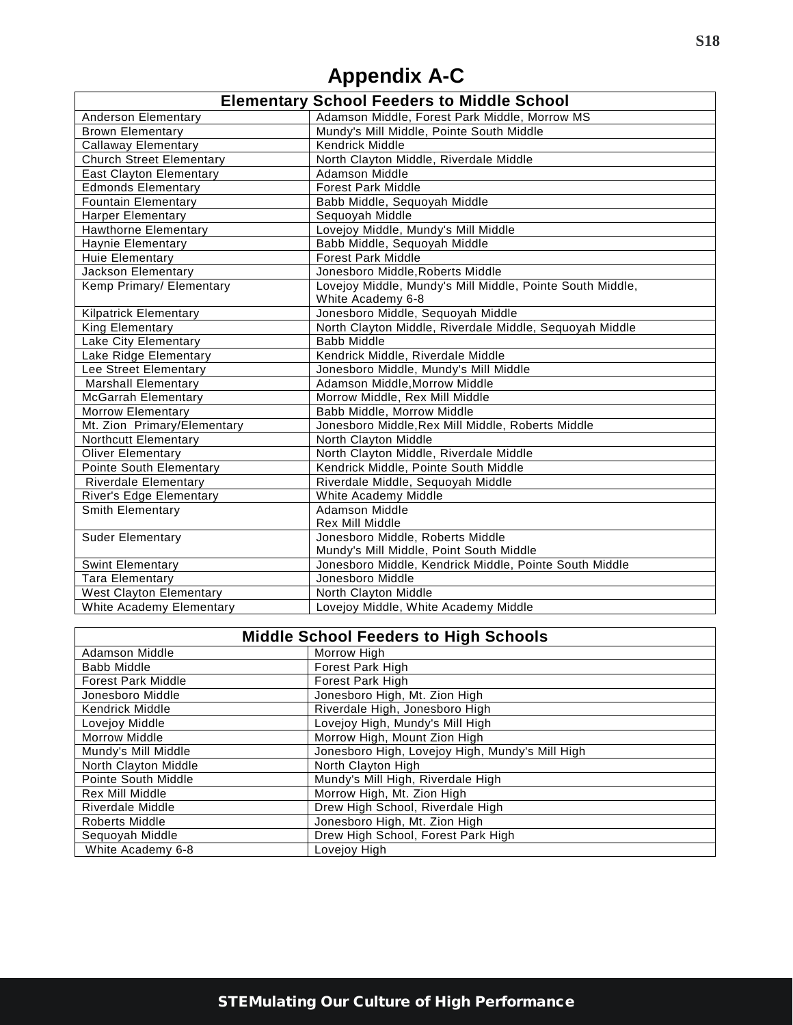# **Appendix A-C**

<span id="page-17-0"></span>

|                                 | <b>Elementary School Feeders to Middle School</b>         |
|---------------------------------|-----------------------------------------------------------|
| <b>Anderson Elementary</b>      | Adamson Middle, Forest Park Middle, Morrow MS             |
| <b>Brown Elementary</b>         | Mundy's Mill Middle, Pointe South Middle                  |
| <b>Callaway Elementary</b>      | Kendrick Middle                                           |
| <b>Church Street Elementary</b> | North Clayton Middle, Riverdale Middle                    |
| <b>East Clayton Elementary</b>  | <b>Adamson Middle</b>                                     |
| <b>Edmonds Elementary</b>       | <b>Forest Park Middle</b>                                 |
| <b>Fountain Elementary</b>      | Babb Middle, Sequoyah Middle                              |
| <b>Harper Elementary</b>        | Sequoyah Middle                                           |
| Hawthorne Elementary            | Lovejoy Middle, Mundy's Mill Middle                       |
| <b>Haynie Elementary</b>        | Babb Middle, Sequoyah Middle                              |
| Huie Elementary                 | <b>Forest Park Middle</b>                                 |
| <b>Jackson Elementary</b>       | Jonesboro Middle, Roberts Middle                          |
| Kemp Primary/ Elementary        | Lovejoy Middle, Mundy's Mill Middle, Pointe South Middle, |
|                                 | White Academy 6-8                                         |
| <b>Kilpatrick Elementary</b>    | Jonesboro Middle, Sequoyah Middle                         |
| King Elementary                 | North Clayton Middle, Riverdale Middle, Sequoyah Middle   |
| Lake City Elementary            | <b>Babb Middle</b>                                        |
| Lake Ridge Elementary           | Kendrick Middle, Riverdale Middle                         |
| Lee Street Elementary           | Jonesboro Middle, Mundy's Mill Middle                     |
| <b>Marshall Elementary</b>      | Adamson Middle, Morrow Middle                             |
| <b>McGarrah Elementary</b>      | Morrow Middle, Rex Mill Middle                            |
| <b>Morrow Elementary</b>        | Babb Middle, Morrow Middle                                |
| Mt. Zion Primary/Elementary     | Jonesboro Middle, Rex Mill Middle, Roberts Middle         |
| Northcutt Elementary            | North Clayton Middle                                      |
| <b>Oliver Elementary</b>        | North Clayton Middle, Riverdale Middle                    |
| Pointe South Elementary         | Kendrick Middle, Pointe South Middle                      |
| Riverdale Elementary            | Riverdale Middle, Sequoyah Middle                         |
| River's Edge Elementary         | White Academy Middle                                      |
| <b>Smith Elementary</b>         | Adamson Middle                                            |
|                                 | Rex Mill Middle                                           |
| <b>Suder Elementary</b>         | Jonesboro Middle, Roberts Middle                          |
|                                 | Mundy's Mill Middle, Point South Middle                   |
| <b>Swint Elementary</b>         | Jonesboro Middle, Kendrick Middle, Pointe South Middle    |
| <b>Tara Elementary</b>          | Jonesboro Middle                                          |
| <b>West Clayton Elementary</b>  | North Clayton Middle                                      |
| White Academy Elementary        | Lovejoy Middle, White Academy Middle                      |

| <b>Middle School Feeders to High Schools</b> |                                                 |  |
|----------------------------------------------|-------------------------------------------------|--|
| Adamson Middle                               | Morrow High                                     |  |
| Babb Middle                                  | Forest Park High                                |  |
| <b>Forest Park Middle</b>                    | Forest Park High                                |  |
| Jonesboro Middle                             | Jonesboro High, Mt. Zion High                   |  |
| <b>Kendrick Middle</b>                       | Riverdale High, Jonesboro High                  |  |
| Lovejoy Middle                               | Lovejoy High, Mundy's Mill High                 |  |
| <b>Morrow Middle</b>                         | Morrow High, Mount Zion High                    |  |
| Mundy's Mill Middle                          | Jonesboro High, Lovejoy High, Mundy's Mill High |  |
| North Clayton Middle                         | North Clayton High                              |  |
| Pointe South Middle                          | Mundy's Mill High, Riverdale High               |  |
| <b>Rex Mill Middle</b>                       | Morrow High, Mt. Zion High                      |  |
| Riverdale Middle                             | Drew High School, Riverdale High                |  |
| Roberts Middle                               | Jonesboro High, Mt. Zion High                   |  |
| Sequoyah Middle                              | Drew High School, Forest Park High              |  |
| White Academy 6-8                            | Lovejoy High                                    |  |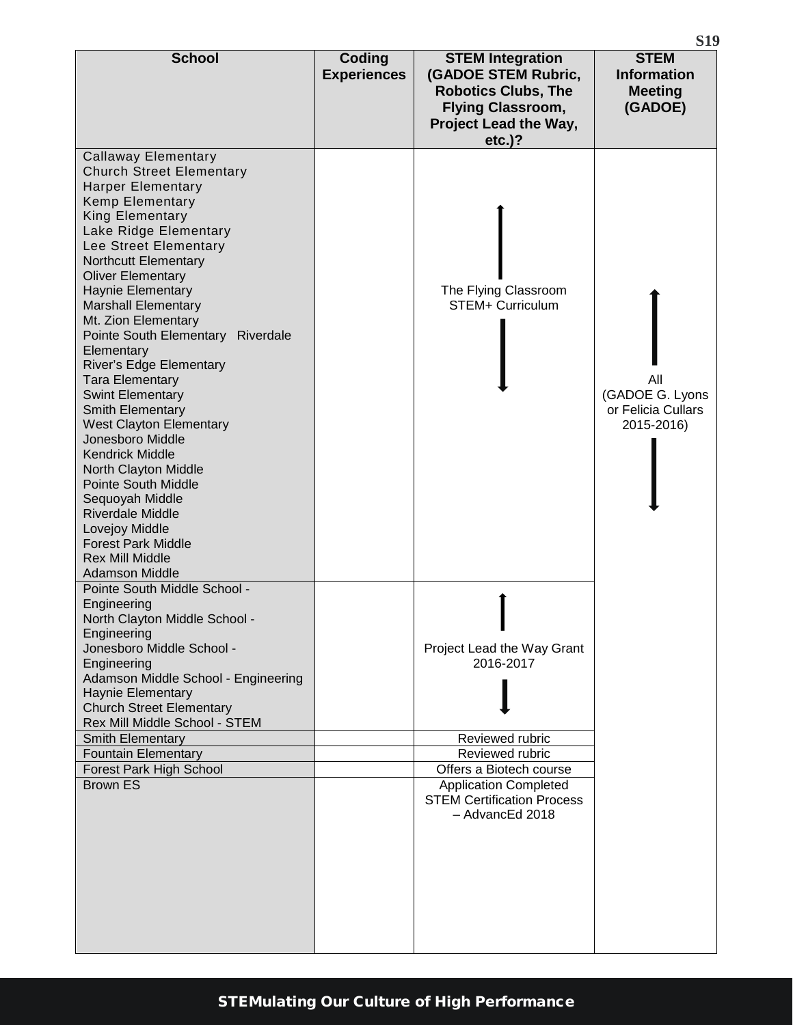| <b>School</b>                                                                                                                                                                                                                                                                                                                                                                                                                                                                                                                                                                                                                                                                                                                                                          | Coding<br><b>Experiences</b> | <b>STEM Integration</b><br>(GADOE STEM Rubric,<br><b>Robotics Clubs, The</b><br><b>Flying Classroom,</b><br>Project Lead the Way,<br>$etc.$ )?                                                   | <b>STEM</b><br><b>Information</b><br><b>Meeting</b><br>(GADOE) |
|------------------------------------------------------------------------------------------------------------------------------------------------------------------------------------------------------------------------------------------------------------------------------------------------------------------------------------------------------------------------------------------------------------------------------------------------------------------------------------------------------------------------------------------------------------------------------------------------------------------------------------------------------------------------------------------------------------------------------------------------------------------------|------------------------------|--------------------------------------------------------------------------------------------------------------------------------------------------------------------------------------------------|----------------------------------------------------------------|
| <b>Callaway Elementary</b><br><b>Church Street Elementary</b><br><b>Harper Elementary</b><br><b>Kemp Elementary</b><br>King Elementary<br>Lake Ridge Elementary<br>Lee Street Elementary<br>Northcutt Elementary<br><b>Oliver Elementary</b><br>Haynie Elementary<br><b>Marshall Elementary</b><br>Mt. Zion Elementary<br>Pointe South Elementary<br>Riverdale<br>Elementary<br>River's Edge Elementary<br><b>Tara Elementary</b><br><b>Swint Elementary</b><br>Smith Elementary<br><b>West Clayton Elementary</b><br>Jonesboro Middle<br><b>Kendrick Middle</b><br>North Clayton Middle<br><b>Pointe South Middle</b><br>Sequoyah Middle<br><b>Riverdale Middle</b><br>Lovejoy Middle<br><b>Forest Park Middle</b><br><b>Rex Mill Middle</b><br><b>Adamson Middle</b> |                              | The Flying Classroom<br>STEM+ Curriculum                                                                                                                                                         | All<br>(GADOE G. Lyons<br>or Felicia Cullars<br>2015-2016)     |
| Pointe South Middle School -<br>Engineering<br>North Clayton Middle School -<br>Engineering<br>Jonesboro Middle School -<br>Engineering<br>Adamson Middle School - Engineering<br>Haynie Elementary<br><b>Church Street Elementary</b><br>Rex Mill Middle School - STEM<br><b>Smith Elementary</b><br><b>Fountain Elementary</b><br>Forest Park High School<br><b>Brown ES</b>                                                                                                                                                                                                                                                                                                                                                                                         |                              | Project Lead the Way Grant<br>2016-2017<br>Reviewed rubric<br>Reviewed rubric<br>Offers a Biotech course<br><b>Application Completed</b><br><b>STEM Certification Process</b><br>- AdvancEd 2018 |                                                                |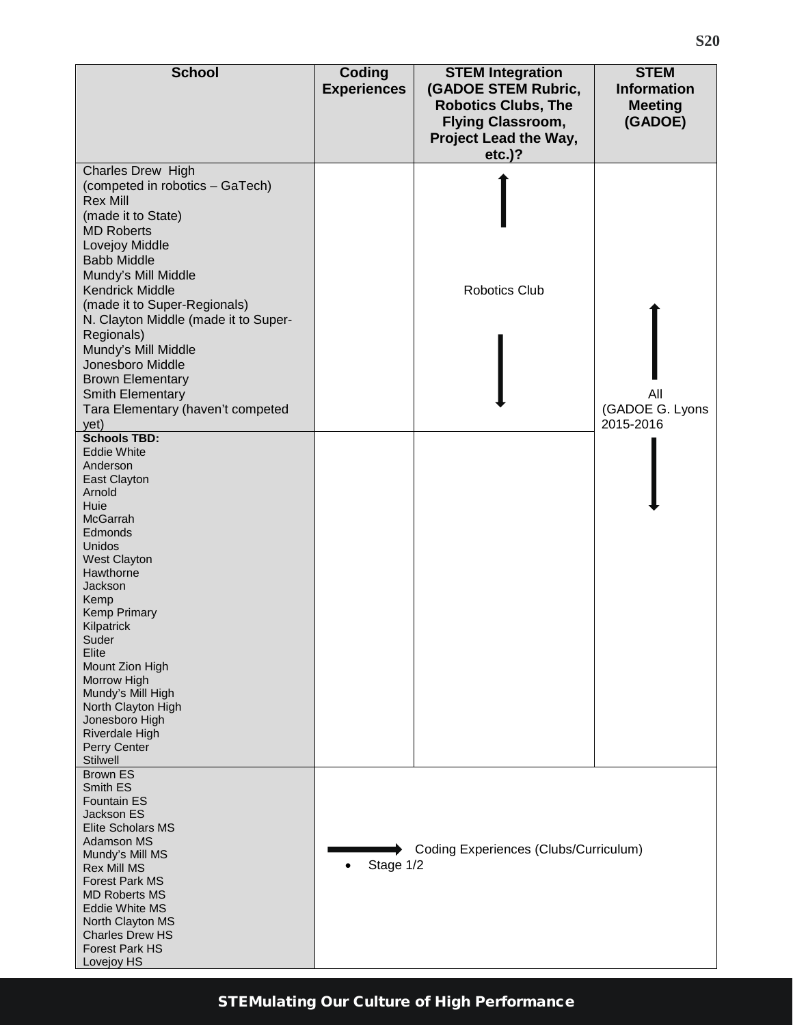| <b>School</b>                                                                                                                                                                                                                                                                                                                                                                                                                                   | Coding<br><b>Experiences</b> | <b>STEM Integration</b><br>(GADOE STEM Rubric,<br><b>Robotics Clubs, The</b><br><b>Flying Classroom,</b> | <b>STEM</b><br><b>Information</b><br><b>Meeting</b><br>(GADOE) |
|-------------------------------------------------------------------------------------------------------------------------------------------------------------------------------------------------------------------------------------------------------------------------------------------------------------------------------------------------------------------------------------------------------------------------------------------------|------------------------------|----------------------------------------------------------------------------------------------------------|----------------------------------------------------------------|
|                                                                                                                                                                                                                                                                                                                                                                                                                                                 |                              | Project Lead the Way,<br>$etc.$ )?                                                                       |                                                                |
| <b>Charles Drew High</b><br>(competed in robotics - GaTech)<br><b>Rex Mill</b><br>(made it to State)<br><b>MD Roberts</b><br>Lovejoy Middle<br><b>Babb Middle</b><br>Mundy's Mill Middle<br><b>Kendrick Middle</b><br>(made it to Super-Regionals)<br>N. Clayton Middle (made it to Super-<br>Regionals)<br>Mundy's Mill Middle<br>Jonesboro Middle<br><b>Brown Elementary</b><br>Smith Elementary<br>Tara Elementary (haven't competed<br>yet) |                              | <b>Robotics Club</b>                                                                                     | All<br>(GADOE G. Lyons<br>2015-2016                            |
| <b>Schools TBD:</b><br><b>Eddie White</b><br>Anderson<br>East Clayton<br>Arnold<br>Huie<br><b>McGarrah</b><br>Edmonds<br>Unidos<br><b>West Clayton</b><br>Hawthorne<br>Jackson<br>Kemp<br><b>Kemp Primary</b><br>Kilpatrick<br>Suder<br>Elite<br>Mount Zion High<br>Morrow High<br>Mundy's Mill High<br>North Clayton High<br>Jonesboro High<br>Riverdale High<br>Perry Center<br><b>Stilwell</b>                                               |                              |                                                                                                          |                                                                |
| <b>Brown ES</b><br>Smith ES<br><b>Fountain ES</b><br>Jackson ES<br><b>Elite Scholars MS</b><br><b>Adamson MS</b><br>Mundy's Mill MS<br><b>Rex Mill MS</b><br><b>Forest Park MS</b><br><b>MD Roberts MS</b><br><b>Eddie White MS</b><br>North Clayton MS<br><b>Charles Drew HS</b><br><b>Forest Park HS</b><br>Lovejoy HS                                                                                                                        | Stage 1/2                    | Coding Experiences (Clubs/Curriculum)                                                                    |                                                                |